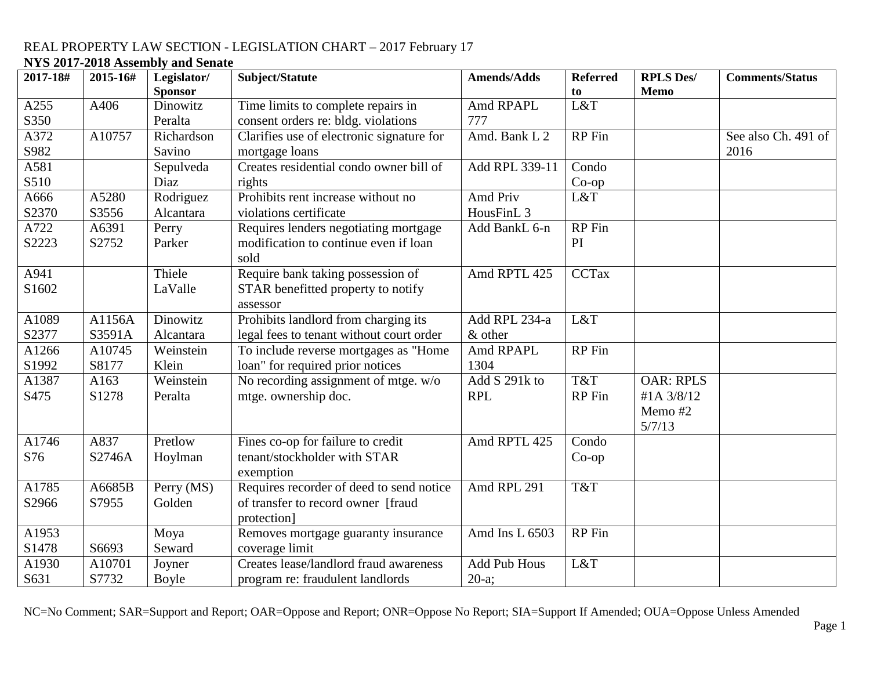| 2017-18# | 2015-16# | Legislator/    | Subject/Statute                           | <b>Amends/Adds</b>    | <b>Referred</b> | <b>RPLS Des/</b> | <b>Comments/Status</b> |
|----------|----------|----------------|-------------------------------------------|-----------------------|-----------------|------------------|------------------------|
|          |          | <b>Sponsor</b> |                                           |                       | to              | <b>Memo</b>      |                        |
| A255     | A406     | Dinowitz       | Time limits to complete repairs in        | Amd RPAPL             | L&T             |                  |                        |
| S350     |          | Peralta        | consent orders re: bldg. violations       | 777                   |                 |                  |                        |
| A372     | A10757   | Richardson     | Clarifies use of electronic signature for | Amd. Bank L 2         | <b>RP</b> Fin   |                  | See also Ch. 491 of    |
| S982     |          | Savino         | mortgage loans                            |                       |                 |                  | 2016                   |
| A581     |          | Sepulveda      | Creates residential condo owner bill of   | Add RPL 339-11        | Condo           |                  |                        |
| S510     |          | Diaz           | rights                                    |                       | $Co$ -op        |                  |                        |
| A666     | A5280    | Rodriguez      | Prohibits rent increase without no        | Amd Priv              | L&T             |                  |                        |
| S2370    | S3556    | Alcantara      | violations certificate                    | HousFinL <sub>3</sub> |                 |                  |                        |
| A722     | A6391    | Perry          | Requires lenders negotiating mortgage     | Add BankL 6-n         | RP Fin          |                  |                        |
| S2223    | S2752    | Parker         | modification to continue even if loan     |                       | PI              |                  |                        |
|          |          |                | sold                                      |                       |                 |                  |                        |
| A941     |          | Thiele         | Require bank taking possession of         | Amd RPTL 425          | <b>CCTax</b>    |                  |                        |
| S1602    |          | LaValle        | STAR benefitted property to notify        |                       |                 |                  |                        |
|          |          |                | assessor                                  |                       |                 |                  |                        |
| A1089    | A1156A   | Dinowitz       | Prohibits landlord from charging its      | Add RPL 234-a         | L&T             |                  |                        |
| S2377    | S3591A   | Alcantara      | legal fees to tenant without court order  | & other               |                 |                  |                        |
| A1266    | A10745   | Weinstein      | To include reverse mortgages as "Home     | Amd RPAPL             | <b>RP</b> Fin   |                  |                        |
| S1992    | S8177    | Klein          | loan" for required prior notices          | 1304                  |                 |                  |                        |
| A1387    | A163     | Weinstein      | No recording assignment of mtge. w/o      | Add S 291k to         | T&T             | <b>OAR: RPLS</b> |                        |
| S475     | S1278    | Peralta        | mtge. ownership doc.                      | <b>RPL</b>            | RP Fin          | #1A 3/8/12       |                        |
|          |          |                |                                           |                       |                 | Memo #2          |                        |
|          |          |                |                                           |                       |                 | 5/7/13           |                        |
| A1746    | A837     | Pretlow        | Fines co-op for failure to credit         | Amd RPTL 425          | Condo           |                  |                        |
| S76      | S2746A   | Hoylman        | tenant/stockholder with STAR              |                       | $Co$ -op        |                  |                        |
|          |          |                | exemption                                 |                       |                 |                  |                        |
| A1785    | A6685B   | Perry (MS)     | Requires recorder of deed to send notice  | Amd RPL 291           | T&T             |                  |                        |
| S2966    | S7955    | Golden         | of transfer to record owner [fraud        |                       |                 |                  |                        |
|          |          |                | protection]                               |                       |                 |                  |                        |
| A1953    |          | Moya           | Removes mortgage guaranty insurance       | Amd Ins L 6503        | <b>RP</b> Fin   |                  |                        |
| S1478    | S6693    | Seward         | coverage limit                            |                       |                 |                  |                        |
| A1930    | A10701   | Joyner         | Creates lease/landlord fraud awareness    | <b>Add Pub Hous</b>   | L&T             |                  |                        |
| S631     | S7732    | Boyle          | program re: fraudulent landlords          | $20-a;$               |                 |                  |                        |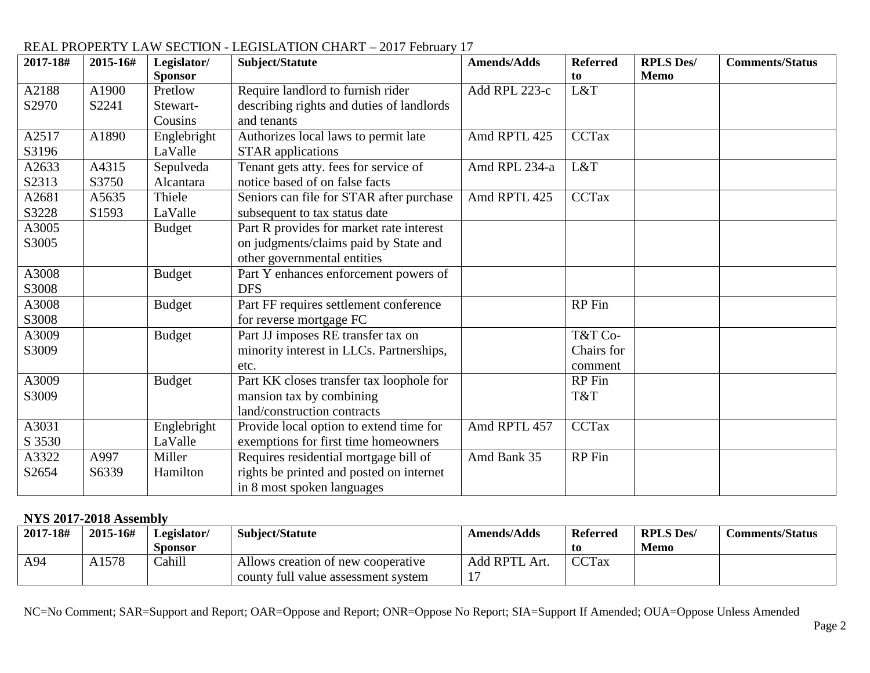| 2017-18# | 2015-16# | Legislator/    | Subject/Statute                           | <b>Amends/Adds</b> | <b>Referred</b> | <b>RPLS Des/</b> | <b>Comments/Status</b> |
|----------|----------|----------------|-------------------------------------------|--------------------|-----------------|------------------|------------------------|
|          |          | <b>Sponsor</b> |                                           |                    | to              | <b>Memo</b>      |                        |
| A2188    | A1900    | Pretlow        | Require landlord to furnish rider         | Add RPL 223-c      | L&T             |                  |                        |
| S2970    | S2241    | Stewart-       | describing rights and duties of landlords |                    |                 |                  |                        |
|          |          | Cousins        | and tenants                               |                    |                 |                  |                        |
| A2517    | A1890    | Englebright    | Authorizes local laws to permit late      | Amd RPTL 425       | <b>CCTax</b>    |                  |                        |
| S3196    |          | LaValle        | <b>STAR</b> applications                  |                    |                 |                  |                        |
| A2633    | A4315    | Sepulveda      | Tenant gets atty. fees for service of     | Amd RPL 234-a      | L&T             |                  |                        |
| S2313    | S3750    | Alcantara      | notice based of on false facts            |                    |                 |                  |                        |
| A2681    | A5635    | Thiele         | Seniors can file for STAR after purchase  | Amd RPTL 425       | <b>CCTax</b>    |                  |                        |
| S3228    | S1593    | LaValle        | subsequent to tax status date             |                    |                 |                  |                        |
| A3005    |          | <b>Budget</b>  | Part R provides for market rate interest  |                    |                 |                  |                        |
| S3005    |          |                | on judgments/claims paid by State and     |                    |                 |                  |                        |
|          |          |                | other governmental entities               |                    |                 |                  |                        |
| A3008    |          | <b>Budget</b>  | Part Y enhances enforcement powers of     |                    |                 |                  |                        |
| S3008    |          |                | <b>DFS</b>                                |                    |                 |                  |                        |
| A3008    |          | <b>Budget</b>  | Part FF requires settlement conference    |                    | RP Fin          |                  |                        |
| S3008    |          |                | for reverse mortgage FC                   |                    |                 |                  |                        |
| A3009    |          | <b>Budget</b>  | Part JJ imposes RE transfer tax on        |                    | T&T Co-         |                  |                        |
| S3009    |          |                | minority interest in LLCs. Partnerships,  |                    | Chairs for      |                  |                        |
|          |          |                | etc.                                      |                    | comment         |                  |                        |
| A3009    |          | <b>Budget</b>  | Part KK closes transfer tax loophole for  |                    | RP Fin          |                  |                        |
| S3009    |          |                | mansion tax by combining                  |                    | T&T             |                  |                        |
|          |          |                | land/construction contracts               |                    |                 |                  |                        |
| A3031    |          | Englebright    | Provide local option to extend time for   | Amd RPTL 457       | <b>CCTax</b>    |                  |                        |
| S 3530   |          | LaValle        | exemptions for first time homeowners      |                    |                 |                  |                        |
| A3322    | A997     | Miller         | Requires residential mortgage bill of     | Amd Bank 35        | RP Fin          |                  |                        |
| S2654    | S6339    | Hamilton       | rights be printed and posted on internet  |                    |                 |                  |                        |
|          |          |                | in 8 most spoken languages                |                    |                 |                  |                        |

#### **NYS 2017-2018 Assembly**

| 2017-18# | 2015-16# | Legislator/ | Subject/Statute                     | <b>Amends/Adds</b> | <b>Referred</b> | <b>RPLS Des/</b> | Comments/Status |
|----------|----------|-------------|-------------------------------------|--------------------|-----------------|------------------|-----------------|
|          |          | Sponsor     |                                     |                    | t0              | Memo             |                 |
| A94      | A1578    | Cahill      | Allows creation of new cooperative  | Add RPTL Art.      | <b>CCTax</b>    |                  |                 |
|          |          |             | county full value assessment system |                    |                 |                  |                 |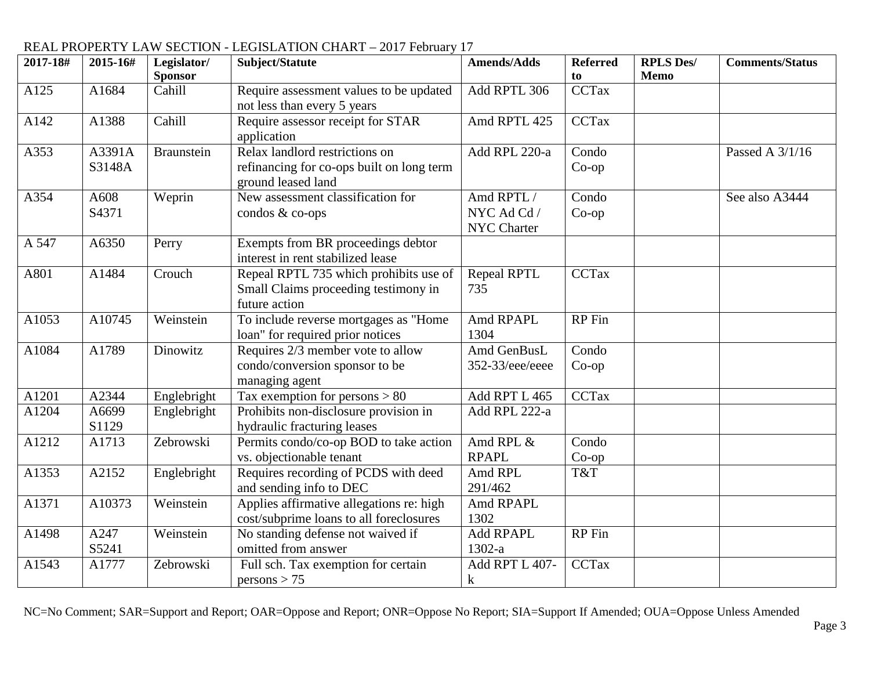| 2017-18# | 2015-16#         | Legislator/<br><b>Sponsor</b> | Subject/Statute                                                                                   | <b>Amends/Adds</b>                       | <b>Referred</b><br>to | <b>RPLS Des/</b><br><b>Memo</b> | <b>Comments/Status</b> |
|----------|------------------|-------------------------------|---------------------------------------------------------------------------------------------------|------------------------------------------|-----------------------|---------------------------------|------------------------|
| A125     | A1684            | Cahill                        | Require assessment values to be updated<br>not less than every 5 years                            | Add RPTL 306                             | <b>CCTax</b>          |                                 |                        |
| A142     | A1388            | Cahill                        | Require assessor receipt for STAR<br>application                                                  | Amd RPTL 425                             | <b>CCTax</b>          |                                 |                        |
| A353     | A3391A<br>S3148A | <b>Braunstein</b>             | Relax landlord restrictions on<br>refinancing for co-ops built on long term<br>ground leased land | Add RPL 220-a                            | Condo<br>$Co$ -op     |                                 | Passed A 3/1/16        |
| A354     | A608<br>S4371    | Weprin                        | New assessment classification for<br>condos & co-ops                                              | Amd RPTL /<br>NYC Ad Cd /<br>NYC Charter | Condo<br>$Co$ -op     |                                 | See also A3444         |
| A 547    | A6350            | Perry                         | Exempts from BR proceedings debtor<br>interest in rent stabilized lease                           |                                          |                       |                                 |                        |
| A801     | A1484            | Crouch                        | Repeal RPTL 735 which prohibits use of<br>Small Claims proceeding testimony in<br>future action   | <b>Repeal RPTL</b><br>735                | CCTax                 |                                 |                        |
| A1053    | A10745           | Weinstein                     | To include reverse mortgages as "Home<br>loan" for required prior notices                         | Amd RPAPL<br>1304                        | RP Fin                |                                 |                        |
| A1084    | A1789            | Dinowitz                      | Requires 2/3 member vote to allow<br>condo/conversion sponsor to be<br>managing agent             | Amd GenBusL<br>352-33/eee/eeee           | Condo<br>$Co$ -op     |                                 |                        |
| A1201    | A2344            | Englebright                   | Tax exemption for persons $> 80$                                                                  | Add RPT L 465                            | CCTax                 |                                 |                        |
| A1204    | A6699<br>S1129   | Englebright                   | Prohibits non-disclosure provision in<br>hydraulic fracturing leases                              | Add RPL 222-a                            |                       |                                 |                        |
| A1212    | A1713            | Zebrowski                     | Permits condo/co-op BOD to take action<br>vs. objectionable tenant                                | Amd RPL &<br><b>RPAPL</b>                | Condo<br>$Co$ -op     |                                 |                        |
| A1353    | A2152            | Englebright                   | Requires recording of PCDS with deed<br>and sending info to DEC                                   | Amd RPL<br>291/462                       | T&T                   |                                 |                        |
| A1371    | A10373           | Weinstein                     | Applies affirmative allegations re: high<br>cost/subprime loans to all foreclosures               | Amd RPAPL<br>1302                        |                       |                                 |                        |
| A1498    | A247<br>S5241    | Weinstein                     | No standing defense not waived if<br>omitted from answer                                          | Add RPAPL<br>1302-a                      | RP Fin                |                                 |                        |
| A1543    | A1777            | Zebrowski                     | Full sch. Tax exemption for certain<br>persons > 75                                               | Add RPT L 407-<br>$\bf k$                | <b>CCTax</b>          |                                 |                        |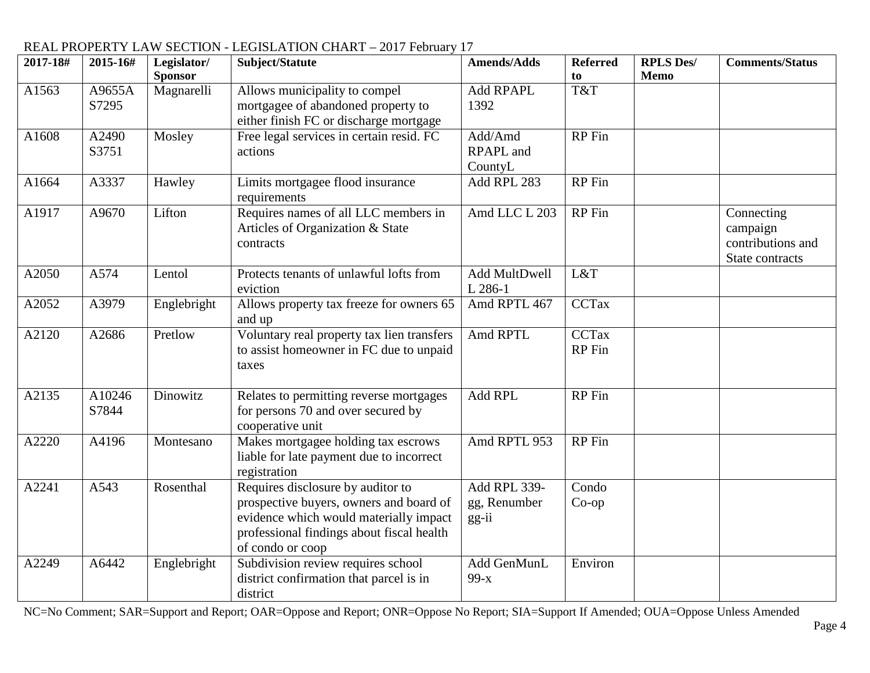| 2017-18# | 2015-16#        | Legislator/<br><b>Sponsor</b> | Subject/Statute                                                                                                                                                                         | <b>Amends/Adds</b>                      | <b>Referred</b><br>to  | <b>RPLS Des/</b><br>Memo | <b>Comments/Status</b>                                         |
|----------|-----------------|-------------------------------|-----------------------------------------------------------------------------------------------------------------------------------------------------------------------------------------|-----------------------------------------|------------------------|--------------------------|----------------------------------------------------------------|
| A1563    | A9655A<br>S7295 | Magnarelli                    | Allows municipality to compel<br>mortgagee of abandoned property to<br>either finish FC or discharge mortgage                                                                           | <b>Add RPAPL</b><br>1392                | T&T                    |                          |                                                                |
| A1608    | A2490<br>S3751  | Mosley                        | Free legal services in certain resid. FC<br>actions                                                                                                                                     | Add/Amd<br>RPAPL and<br>CountyL         | <b>RP</b> Fin          |                          |                                                                |
| A1664    | A3337           | Hawley                        | Limits mortgagee flood insurance<br>requirements                                                                                                                                        | Add RPL 283                             | <b>RP</b> Fin          |                          |                                                                |
| A1917    | A9670           | Lifton                        | Requires names of all LLC members in<br>Articles of Organization & State<br>contracts                                                                                                   | Amd LLC L 203                           | <b>RP</b> Fin          |                          | Connecting<br>campaign<br>contributions and<br>State contracts |
| A2050    | A574            | Lentol                        | Protects tenants of unlawful lofts from<br>eviction                                                                                                                                     | Add MultDwell<br>L 286-1                | L&T                    |                          |                                                                |
| A2052    | A3979           | Englebright                   | Allows property tax freeze for owners 65<br>and up                                                                                                                                      | Amd RPTL 467                            | <b>CCTax</b>           |                          |                                                                |
| A2120    | A2686           | Pretlow                       | Voluntary real property tax lien transfers<br>to assist homeowner in FC due to unpaid<br>taxes                                                                                          | Amd RPTL                                | <b>CCTax</b><br>RP Fin |                          |                                                                |
| A2135    | A10246<br>S7844 | Dinowitz                      | Relates to permitting reverse mortgages<br>for persons 70 and over secured by<br>cooperative unit                                                                                       | Add RPL                                 | RP Fin                 |                          |                                                                |
| A2220    | A4196           | Montesano                     | Makes mortgagee holding tax escrows<br>liable for late payment due to incorrect<br>registration                                                                                         | Amd RPTL 953                            | RP Fin                 |                          |                                                                |
| A2241    | A543            | Rosenthal                     | Requires disclosure by auditor to<br>prospective buyers, owners and board of<br>evidence which would materially impact<br>professional findings about fiscal health<br>of condo or coop | Add RPL 339-<br>gg, Renumber<br>$gg-ii$ | Condo<br>$Co$ -op      |                          |                                                                |
| A2249    | A6442           | Englebright                   | Subdivision review requires school<br>district confirmation that parcel is in<br>district                                                                                               | Add GenMunL<br>$99-x$                   | Environ                |                          |                                                                |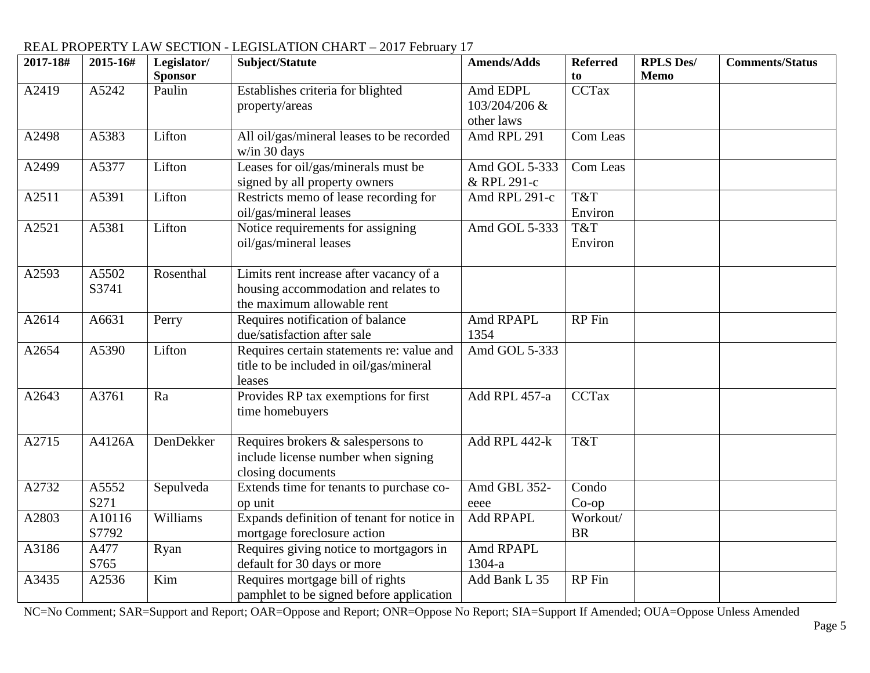| 2017-18# | 2015-16#        | Legislator/<br><b>Sponsor</b> | Subject/Statute                                                                                               | <b>Amends/Adds</b>                      | <b>Referred</b><br>to | <b>RPLS Des/</b><br><b>Memo</b> | <b>Comments/Status</b> |
|----------|-----------------|-------------------------------|---------------------------------------------------------------------------------------------------------------|-----------------------------------------|-----------------------|---------------------------------|------------------------|
| A2419    | A5242           | Paulin                        | Establishes criteria for blighted<br>property/areas                                                           | Amd EDPL<br>103/204/206 &<br>other laws | <b>CCTax</b>          |                                 |                        |
| A2498    | A5383           | Lifton                        | All oil/gas/mineral leases to be recorded<br>w/in 30 days                                                     | Amd RPL 291                             | Com Leas              |                                 |                        |
| A2499    | A5377           | Lifton                        | Leases for oil/gas/minerals must be<br>signed by all property owners                                          | Amd GOL 5-333<br>& RPL 291-c            | Com Leas              |                                 |                        |
| A2511    | A5391           | Lifton                        | Restricts memo of lease recording for<br>oil/gas/mineral leases                                               | Amd RPL 291-c                           | T&T<br>Environ        |                                 |                        |
| A2521    | A5381           | Lifton                        | Notice requirements for assigning<br>oil/gas/mineral leases                                                   | Amd GOL 5-333                           | T&T<br>Environ        |                                 |                        |
| A2593    | A5502<br>S3741  | Rosenthal                     | Limits rent increase after vacancy of a<br>housing accommodation and relates to<br>the maximum allowable rent |                                         |                       |                                 |                        |
| A2614    | A6631           | Perry                         | Requires notification of balance<br>due/satisfaction after sale                                               | Amd RPAPL<br>1354                       | <b>RP</b> Fin         |                                 |                        |
| A2654    | A5390           | Lifton                        | Requires certain statements re: value and<br>title to be included in oil/gas/mineral<br>leases                | Amd GOL 5-333                           |                       |                                 |                        |
| A2643    | A3761           | Ra                            | Provides RP tax exemptions for first<br>time homebuyers                                                       | Add RPL 457-a                           | <b>CCTax</b>          |                                 |                        |
| A2715    | A4126A          | DenDekker                     | Requires brokers & salespersons to<br>include license number when signing<br>closing documents                | Add RPL 442-k                           | T&T                   |                                 |                        |
| A2732    | A5552<br>S271   | Sepulveda                     | Extends time for tenants to purchase co-<br>op unit                                                           | Amd GBL 352-<br>eeee                    | Condo<br>$Co$ -op     |                                 |                        |
| A2803    | A10116<br>S7792 | Williams                      | Expands definition of tenant for notice in<br>mortgage foreclosure action                                     | Add RPAPL                               | Workout/<br><b>BR</b> |                                 |                        |
| A3186    | A477<br>S765    | Ryan                          | Requires giving notice to mortgagors in<br>default for 30 days or more                                        | Amd RPAPL<br>$1304-a$                   |                       |                                 |                        |
| A3435    | A2536           | Kim                           | Requires mortgage bill of rights<br>pamphlet to be signed before application                                  | Add Bank L 35                           | RP Fin                |                                 |                        |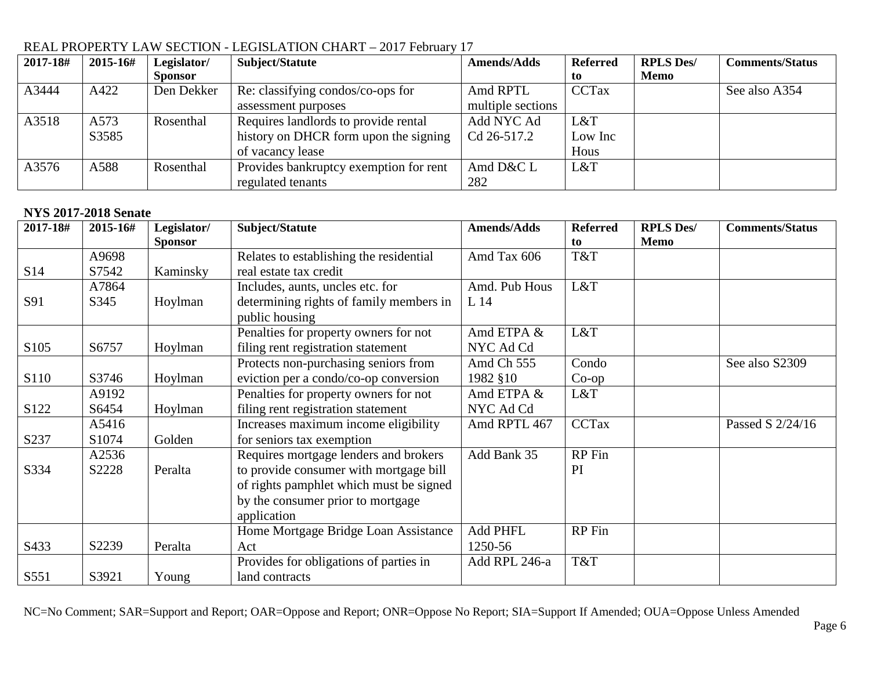| 2017-18# | 2015-16# | Legislator/    | Subject/Statute                        | <b>Amends/Adds</b> | <b>Referred</b> | <b>RPLS Des/</b> | <b>Comments/Status</b> |
|----------|----------|----------------|----------------------------------------|--------------------|-----------------|------------------|------------------------|
|          |          | <b>Sponsor</b> |                                        |                    | to.             | Memo             |                        |
| A3444    | A422     | Den Dekker     | Re: classifying condos/co-ops for      | Amd RPTL           | <b>CCTax</b>    |                  | See also A354          |
|          |          |                | assessment purposes                    | multiple sections  |                 |                  |                        |
| A3518    | A573     | Rosenthal      | Requires landlords to provide rental   | Add NYC Ad         | L&T             |                  |                        |
|          | S3585    |                | history on DHCR form upon the signing  | Cd 26-517.2        | Low Inc         |                  |                        |
|          |          |                | of vacancy lease                       |                    | Hous            |                  |                        |
| A3576    | A588     | Rosenthal      | Provides bankruptcy exemption for rent | Amd D&C L          | L&T             |                  |                        |
|          |          |                | regulated tenants                      | 282                |                 |                  |                        |

#### **NYS 2017-2018 Senate**

| 2017-18#         | 2015-16#          | Legislator/    | Subject/Statute                         | <b>Amends/Adds</b> | <b>Referred</b> | <b>RPLS Des/</b> | <b>Comments/Status</b> |
|------------------|-------------------|----------------|-----------------------------------------|--------------------|-----------------|------------------|------------------------|
|                  |                   | <b>Sponsor</b> |                                         |                    | to              | <b>Memo</b>      |                        |
|                  | A9698             |                | Relates to establishing the residential | Amd Tax 606        | T&T             |                  |                        |
| S <sub>14</sub>  | S7542             | Kaminsky       | real estate tax credit                  |                    |                 |                  |                        |
|                  | A7864             |                | Includes, aunts, uncles etc. for        | Amd. Pub Hous      | L&T             |                  |                        |
| S91              | S345              | Hoylman        | determining rights of family members in | L 14               |                 |                  |                        |
|                  |                   |                | public housing                          |                    |                 |                  |                        |
|                  |                   |                | Penalties for property owners for not   | Amd ETPA &         | L&T             |                  |                        |
| S <sub>105</sub> | S6757             | Hoylman        | filing rent registration statement      | NYC Ad Cd          |                 |                  |                        |
|                  |                   |                | Protects non-purchasing seniors from    | Amd Ch 555         | Condo           |                  | See also S2309         |
| S <sub>110</sub> | S3746             | Hoylman        | eviction per a condo/co-op conversion   | 1982 §10           | $Co$ -op        |                  |                        |
|                  | A9192             |                | Penalties for property owners for not   | Amd ETPA &         | L&T             |                  |                        |
| S <sub>122</sub> | S6454             | Hoylman        | filing rent registration statement      | NYC Ad Cd          |                 |                  |                        |
|                  | A5416             |                | Increases maximum income eligibility    | Amd RPTL 467       | <b>CCTax</b>    |                  | Passed S 2/24/16       |
| S237             | S <sub>1074</sub> | Golden         | for seniors tax exemption               |                    |                 |                  |                        |
|                  | A2536             |                | Requires mortgage lenders and brokers   | Add Bank 35        | RP Fin          |                  |                        |
| S334             | S2228             | Peralta        | to provide consumer with mortgage bill  |                    | PI              |                  |                        |
|                  |                   |                | of rights pamphlet which must be signed |                    |                 |                  |                        |
|                  |                   |                | by the consumer prior to mortgage       |                    |                 |                  |                        |
|                  |                   |                | application                             |                    |                 |                  |                        |
|                  |                   |                | Home Mortgage Bridge Loan Assistance    | Add PHFL           | RP Fin          |                  |                        |
| S433             | S2239             | Peralta        | Act                                     | 1250-56            |                 |                  |                        |
|                  |                   |                | Provides for obligations of parties in  | Add RPL 246-a      | T&T             |                  |                        |
| S551             | S3921             | Young          | land contracts                          |                    |                 |                  |                        |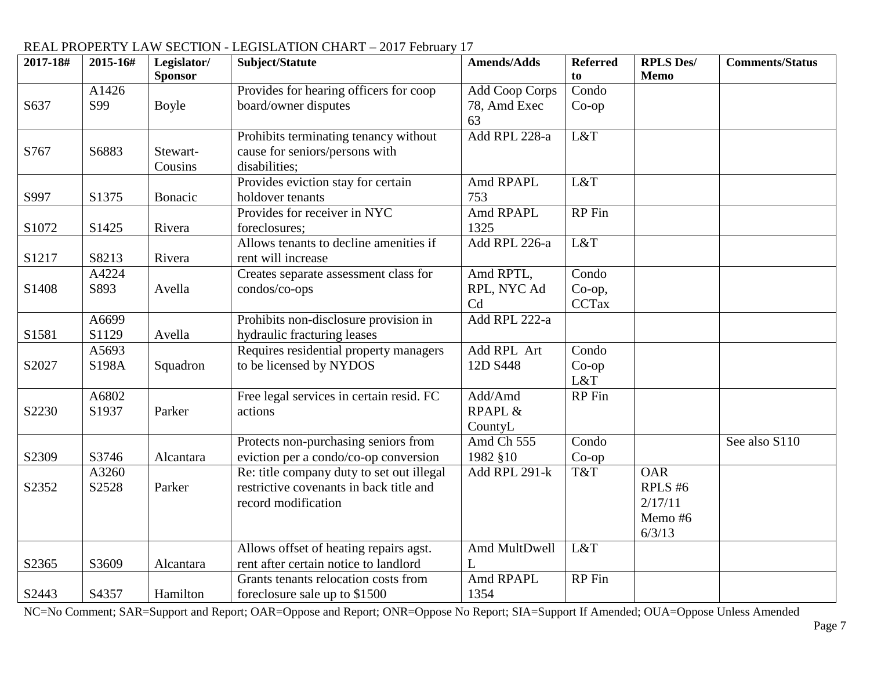#### REAL PROPERTY LAW SECTION - LEGISLATION CHART – 2017 February 17 **2017-18# 2015-16# Legislator/ Sponsor Subject/Statute Amends/Adds Referred to RPLS Des/ Memo Comments/Status** S637 A1426 S99 Boyle Provides for hearing officers for coop board/owner disputes Add Coop Corps 78, Amd Exec 63 Condo Co-op  $S767$   $S6883$  Stewart-Cousins Prohibits terminating tenancy without cause for seniors/persons with disabilities; Add RPL 228-a L&T S997 S1375 Bonacic Provides eviction stay for certain holdover tenants Amd RPAPL 753 L&T S<sub>1072</sub> S<sub>1425</sub> Rivera Provides for receiver in NYC foreclosures; Amd RPAPL 1325 RP Fin S1217 | S8213 | Rivera Allows tenants to decline amenities if rent will increase Add RPL 226-a L&T S1408 A4224 S893 Avella Creates separate assessment class for condos/co-ops Amd RPTL, RPL, NYC Ad Cd Condo Co-op, **CCTax** S1581 A6699 S1129 Avella Prohibits non-disclosure provision in hydraulic fracturing leases Add RPL 222-a S2027 A5693 S<sub>198</sub>A Squadron Requires residential property managers to be licensed by NYDOS Add RPL Art 12D S448 Condo Co-op L&T S2230 A6802 S1937 Parker Free legal services in certain resid. FC actions Add/Amd RPAPL & CountyL RP Fin S2309 | S3746 | Alcantara Protects non-purchasing seniors from eviction per a condo/co-op conversion Amd Ch 555 1982 §10 Condo Co-op See also S110 S2352 A3260 S2528 Parker Re: title company duty to set out illegal restrictive covenants in back title and record modification Add RPL 291-k  $\vert$  T&T  $\vert$  OAR RPLS #6 2/17/11 Memo #6 6/3/13  $S<sub>2365</sub>$   $S<sub>3609</sub>$  Alcantara Allows offset of heating repairs agst. rent after certain notice to landlord Amd MultDwell  $\mathbf{L}$ L&T  $S<sub>2443</sub>$  S4357 Hamilton Grants tenants relocation costs from foreclosure sale up to \$1500 Amd RPAPL 1354 RP Fin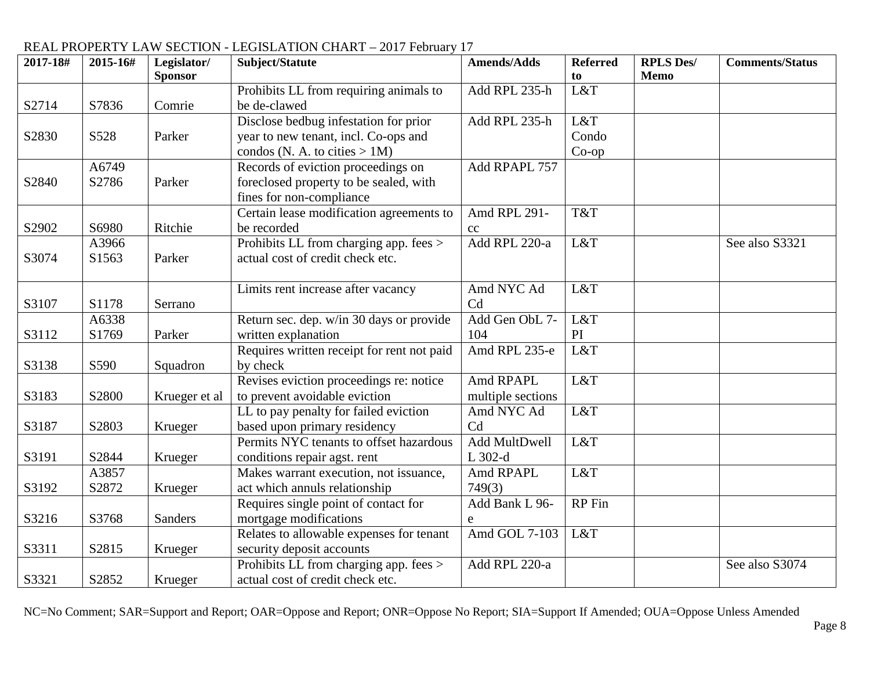#### **2017-18# 2015-16# Legislator/ Sponsor Subject/Statute Amends/Adds Referred to RPLS Des/ Memo Comments/Status** S2714 | S7836 | Comrie Prohibits LL from requiring animals to be de-clawed Add RPL  $235-h$   $L&T$ S2830 | S528 | Parker Disclose bedbug infestation for prior year to new tenant, incl. Co-ops and condos (N. A. to cities  $> 1M$ ) Add RPL 235-h L&T Condo Co-op S2840 A6749 S2786 Parker Records of eviction proceedings on foreclosed property to be sealed, with fines for non-compliance Add RPAPL 757 S2902 | S6980 | Ritchie Certain lease modification agreements to be recorded Amd RPL 291 cc T&T S3074 A3966 S1563 Parker Prohibits LL from charging app. fees > actual cost of credit check etc. Add RPL 220-a L&T See also S3321  $\sim$  S1178 Serrano Limits rent increase after vacancy Amd NYC Ad Cd L&T S3112 A6338 S1769 Parker Return sec. dep. w/in 30 days or provide written explanation Add Gen ObL 7- 104 L&T PI<br>L&T  $S3138$   $S590$  Squadron Requires written receipt for rent not paid by check Amd RPL  $235-e$ S3183 | S2800 | Krueger et al Revises eviction proceedings re: notice to prevent avoidable eviction Amd RPAPL multiple sections L&T S3187 | S2803 | Krueger LL to pay penalty for failed eviction based upon primary residency Amd NYC Ad Cd L&T S3191 S2844 Krueger Permits NYC tenants to offset hazardous conditions repair agst. rent Add MultDwell  $L.302-d$ L&T S3192 A3857 S2872 Krueger Makes warrant execution, not issuance, act which annuls relationship Amd RPAPL 749(3) L&T S3216 S3768 Sanders Requires single point of contact for mortgage modifications Add Bank L 96 e RP Fin S3311 | S2815 | Krueger Relates to allowable expenses for tenant security deposit accounts Amd GOL 7-103 L&T S3321 | S2852 | Krueger Prohibits LL from charging app. fees > actual cost of credit check etc. Add RPL 220-a See also S3074

## REAL PROPERTY LAW SECTION - LEGISLATION CHART – 2017 February 17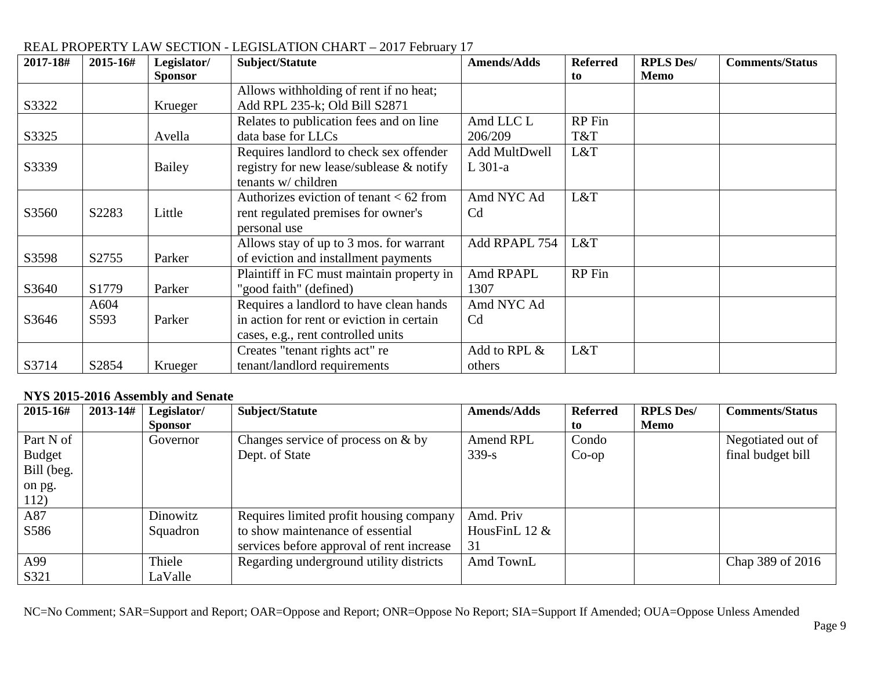| 2017-18# | 2015-16# | Legislator/    | Subject/Statute                           | <b>Amends/Adds</b> | <b>Referred</b> | <b>RPLS Des/</b> | <b>Comments/Status</b> |
|----------|----------|----------------|-------------------------------------------|--------------------|-----------------|------------------|------------------------|
|          |          | <b>Sponsor</b> |                                           |                    | to              | Memo             |                        |
|          |          |                | Allows withholding of rent if no heat;    |                    |                 |                  |                        |
| S3322    |          | Krueger        | Add RPL 235-k; Old Bill S2871             |                    |                 |                  |                        |
|          |          |                | Relates to publication fees and on line   | Amd LLC L          | RP Fin          |                  |                        |
| S3325    |          | Avella         | data base for LLCs                        | 206/209            | T&T             |                  |                        |
|          |          |                | Requires landlord to check sex offender   | Add MultDwell      | L&T             |                  |                        |
| S3339    |          | Bailey         | registry for new lease/sublease & notify  | $L$ 301-a          |                 |                  |                        |
|          |          |                | tenants w/ children                       |                    |                 |                  |                        |
|          |          |                | Authorizes eviction of tenant $< 62$ from | Amd NYC Ad         | L&T             |                  |                        |
| S3560    | S2283    | Little         | rent regulated premises for owner's       | C <sub>d</sub>     |                 |                  |                        |
|          |          |                | personal use                              |                    |                 |                  |                        |
|          |          |                | Allows stay of up to 3 mos. for warrant   | Add RPAPL 754      | L&T             |                  |                        |
| S3598    | S2755    | Parker         | of eviction and installment payments      |                    |                 |                  |                        |
|          |          |                | Plaintiff in FC must maintain property in | Amd RPAPL          | RP Fin          |                  |                        |
| S3640    | S1779    | Parker         | "good faith" (defined)                    | 1307               |                 |                  |                        |
|          | A604     |                | Requires a landlord to have clean hands   | Amd NYC Ad         |                 |                  |                        |
| S3646    | S593     | Parker         | in action for rent or eviction in certain | C <sub>d</sub>     |                 |                  |                        |
|          |          |                | cases, e.g., rent controlled units        |                    |                 |                  |                        |
|          |          |                | Creates "tenant rights act" re            | Add to RPL &       | L&T             |                  |                        |
| S3714    | S2854    | Krueger        | tenant/landlord requirements              | others             |                 |                  |                        |

#### **NYS 2015-2016 Assembly and Senate**

| 2015-16#      | $2013 - 14#$ | Legislator/<br><b>Sponsor</b> | Subject/Statute                           | <b>Amends/Adds</b> | <b>Referred</b><br>to | <b>RPLS Des/</b><br>Memo | <b>Comments/Status</b> |
|---------------|--------------|-------------------------------|-------------------------------------------|--------------------|-----------------------|--------------------------|------------------------|
| Part N of     |              | Governor                      | Changes service of process on $&$ by      | Amend RPL          | Condo                 |                          | Negotiated out of      |
| <b>Budget</b> |              |                               | Dept. of State                            | $339 - s$          | $Co$ -op              |                          | final budget bill      |
| Bill (beg.    |              |                               |                                           |                    |                       |                          |                        |
| on pg.        |              |                               |                                           |                    |                       |                          |                        |
| 112)          |              |                               |                                           |                    |                       |                          |                        |
| A87           |              | Dinowitz                      | Requires limited profit housing company   | Amd. Priv          |                       |                          |                        |
| S586          |              | Squadron                      | to show maintenance of essential          | HousFinL $12 \&$   |                       |                          |                        |
|               |              |                               | services before approval of rent increase | 31                 |                       |                          |                        |
| A99           |              | Thiele                        | Regarding underground utility districts   | Amd TownL          |                       |                          | Chap 389 of 2016       |
| S321          |              | LaValle                       |                                           |                    |                       |                          |                        |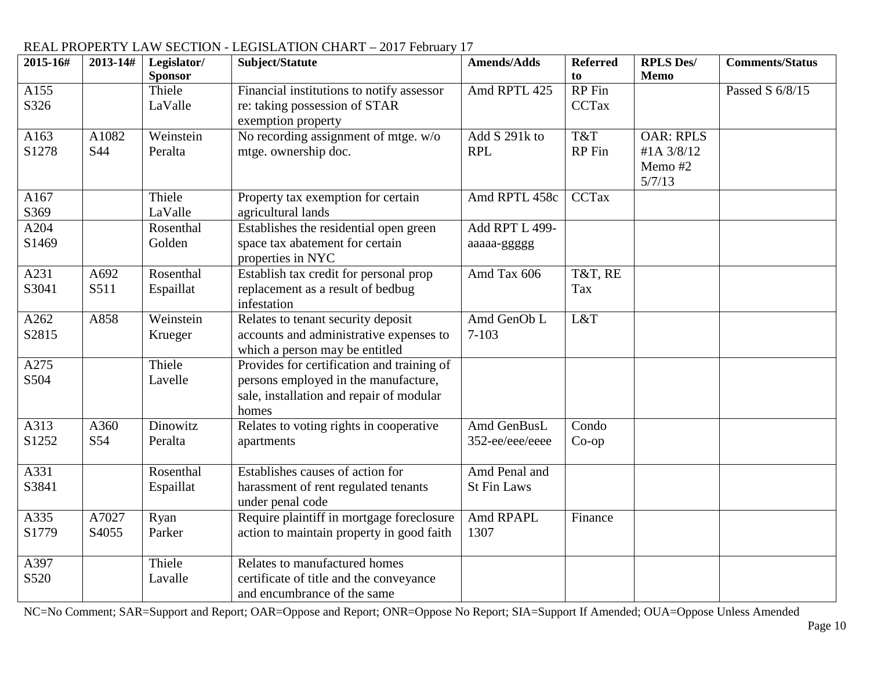| 2015-16# | 2013-14# | Legislator/    | Subject/Statute                            | <b>Amends/Adds</b> | <b>Referred</b> | <b>RPLS Des/</b> | <b>Comments/Status</b> |
|----------|----------|----------------|--------------------------------------------|--------------------|-----------------|------------------|------------------------|
|          |          | <b>Sponsor</b> |                                            |                    | to              | <b>Memo</b>      |                        |
| A155     |          | Thiele         | Financial institutions to notify assessor  | Amd RPTL 425       | RP Fin          |                  | Passed S 6/8/15        |
| S326     |          | LaValle        | re: taking possession of STAR              |                    | <b>CCTax</b>    |                  |                        |
|          |          |                | exemption property                         |                    |                 |                  |                        |
| A163     | A1082    | Weinstein      | No recording assignment of mtge. w/o       | Add S 291k to      | T&T             | <b>OAR: RPLS</b> |                        |
| S1278    | S44      | Peralta        | mtge. ownership doc.                       | <b>RPL</b>         | RP Fin          | #1A 3/8/12       |                        |
|          |          |                |                                            |                    |                 | Memo #2          |                        |
|          |          |                |                                            |                    |                 | 5/7/13           |                        |
| A167     |          | Thiele         | Property tax exemption for certain         | Amd RPTL 458c      | <b>CCTax</b>    |                  |                        |
| S369     |          | LaValle        | agricultural lands                         |                    |                 |                  |                        |
| A204     |          | Rosenthal      | Establishes the residential open green     | Add RPT L 499-     |                 |                  |                        |
| S1469    |          | Golden         | space tax abatement for certain            | aaaaa-ggggg        |                 |                  |                        |
|          |          |                | properties in NYC                          |                    |                 |                  |                        |
| A231     | A692     | Rosenthal      | Establish tax credit for personal prop     | Amd Tax 606        | T&T, RE         |                  |                        |
| S3041    | S511     | Espaillat      | replacement as a result of bedbug          |                    | Tax             |                  |                        |
|          |          |                | infestation                                |                    |                 |                  |                        |
| A262     | A858     | Weinstein      | Relates to tenant security deposit         | Amd GenOb L        | L&T             |                  |                        |
| S2815    |          | Krueger        | accounts and administrative expenses to    | $7 - 103$          |                 |                  |                        |
|          |          |                | which a person may be entitled             |                    |                 |                  |                        |
| A275     |          | Thiele         | Provides for certification and training of |                    |                 |                  |                        |
| S504     |          | Lavelle        | persons employed in the manufacture,       |                    |                 |                  |                        |
|          |          |                | sale, installation and repair of modular   |                    |                 |                  |                        |
|          |          |                | homes                                      |                    |                 |                  |                        |
| A313     | A360     | Dinowitz       | Relates to voting rights in cooperative    | Amd GenBusL        | Condo           |                  |                        |
| S1252    | S54      | Peralta        | apartments                                 | 352-ee/eee/eeee    | $Co$ -op        |                  |                        |
| A331     |          | Rosenthal      | Establishes causes of action for           | Amd Penal and      |                 |                  |                        |
| S3841    |          | Espaillat      | harassment of rent regulated tenants       | <b>St Fin Laws</b> |                 |                  |                        |
|          |          |                | under penal code                           |                    |                 |                  |                        |
| A335     | A7027    | Ryan           | Require plaintiff in mortgage foreclosure  | Amd RPAPL          | Finance         |                  |                        |
| S1779    | S4055    | Parker         | action to maintain property in good faith  | 1307               |                 |                  |                        |
|          |          |                |                                            |                    |                 |                  |                        |
| A397     |          | Thiele         | Relates to manufactured homes              |                    |                 |                  |                        |
| S520     |          | Lavalle        | certificate of title and the conveyance    |                    |                 |                  |                        |
|          |          |                | and encumbrance of the same                |                    |                 |                  |                        |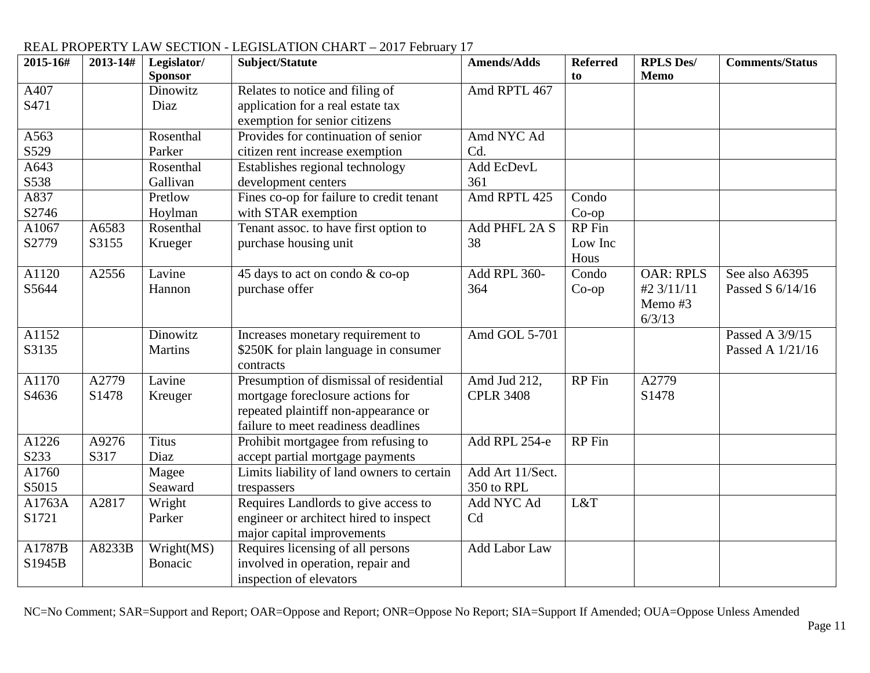| 2015-16#           | 2013-14# | Legislator/    | Subject/Statute                            | <b>Amends/Adds</b> | <b>Referred</b> | <b>RPLS Des/</b> | <b>Comments/Status</b> |
|--------------------|----------|----------------|--------------------------------------------|--------------------|-----------------|------------------|------------------------|
|                    |          | <b>Sponsor</b> |                                            |                    | to              | Memo             |                        |
| A407               |          | Dinowitz       | Relates to notice and filing of            | Amd RPTL 467       |                 |                  |                        |
| S471               |          | Diaz           | application for a real estate tax          |                    |                 |                  |                        |
|                    |          |                | exemption for senior citizens              |                    |                 |                  |                        |
| A563               |          | Rosenthal      | Provides for continuation of senior        | Amd NYC Ad         |                 |                  |                        |
| S529               |          | Parker         | citizen rent increase exemption            | Cd.                |                 |                  |                        |
| A643               |          | Rosenthal      | Establishes regional technology            | Add EcDevL         |                 |                  |                        |
| S538               |          | Gallivan       | development centers                        | 361                |                 |                  |                        |
| A837               |          | Pretlow        | Fines co-op for failure to credit tenant   | Amd RPTL 425       | Condo           |                  |                        |
| S2746              |          | Hoylman        | with STAR exemption                        |                    | $Co$ -op        |                  |                        |
| A1067              | A6583    | Rosenthal      | Tenant assoc. to have first option to      | Add PHFL 2A S      | RP Fin          |                  |                        |
| S2779              | S3155    | Krueger        | purchase housing unit                      | 38                 | Low Inc         |                  |                        |
|                    |          |                |                                            |                    | Hous            |                  |                        |
| A1120              | A2556    | Lavine         | 45 days to act on condo & co-op            | Add RPL 360-       | Condo           | <b>OAR: RPLS</b> | See also A6395         |
| S5644              |          | Hannon         | purchase offer                             | 364                | $Co$ -op        | #2 3/11/11       | Passed S 6/14/16       |
|                    |          |                |                                            |                    |                 | Memo #3          |                        |
|                    |          |                |                                            |                    |                 | 6/3/13           |                        |
| A1152              |          | Dinowitz       | Increases monetary requirement to          | Amd GOL 5-701      |                 |                  | Passed A 3/9/15        |
| S3135              |          | Martins        | \$250K for plain language in consumer      |                    |                 |                  | Passed A 1/21/16       |
|                    |          |                | contracts                                  |                    |                 |                  |                        |
| A1170              | A2779    | Lavine         | Presumption of dismissal of residential    | Amd Jud 212,       | RP Fin          | A2779            |                        |
| S <sub>46</sub> 36 | S1478    | Kreuger        | mortgage foreclosure actions for           | <b>CPLR 3408</b>   |                 | S1478            |                        |
|                    |          |                | repeated plaintiff non-appearance or       |                    |                 |                  |                        |
|                    |          |                | failure to meet readiness deadlines        |                    |                 |                  |                        |
| A1226              | A9276    | <b>Titus</b>   | Prohibit mortgagee from refusing to        | Add RPL 254-e      | RP Fin          |                  |                        |
| S233               | S317     | Diaz           | accept partial mortgage payments           |                    |                 |                  |                        |
| A1760              |          | Magee          | Limits liability of land owners to certain | Add Art 11/Sect.   |                 |                  |                        |
| S5015              |          | Seaward        | trespassers                                | 350 to RPL         |                 |                  |                        |
| A1763A             | A2817    | Wright         | Requires Landlords to give access to       | Add NYC Ad         | L&T             |                  |                        |
| S1721              |          | Parker         | engineer or architect hired to inspect     | Cd                 |                 |                  |                        |
|                    |          |                | major capital improvements                 |                    |                 |                  |                        |
| A1787B             | A8233B   | Wright(MS)     | Requires licensing of all persons          | Add Labor Law      |                 |                  |                        |
| S1945B             |          | Bonacic        | involved in operation, repair and          |                    |                 |                  |                        |
|                    |          |                | inspection of elevators                    |                    |                 |                  |                        |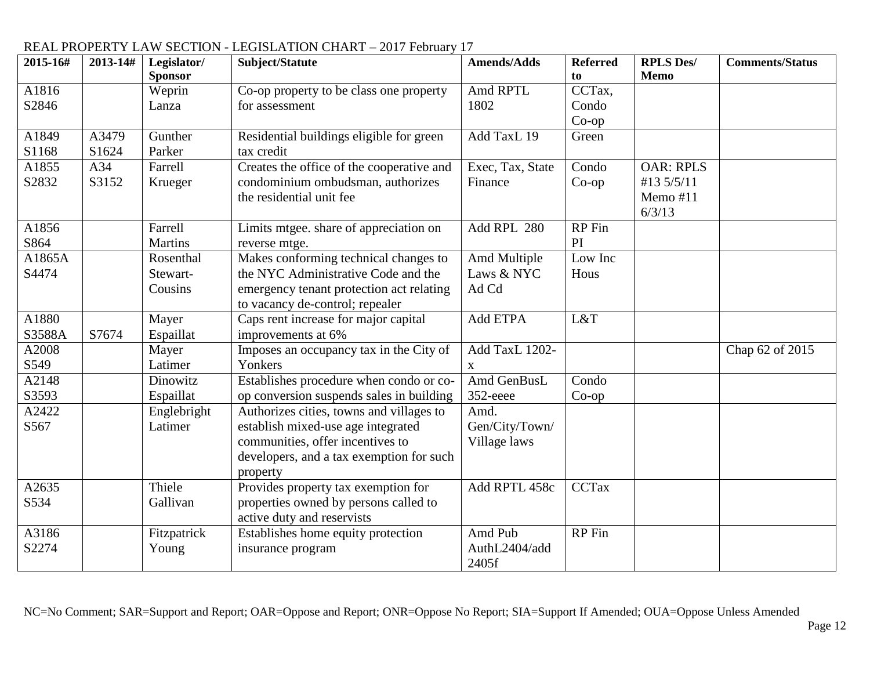| 2015-16# | 2013-14# | Legislator/    | Subject/Statute                           | <b>Amends/Adds</b> | <b>Referred</b> | <b>RPLS Des/</b> | <b>Comments/Status</b> |
|----------|----------|----------------|-------------------------------------------|--------------------|-----------------|------------------|------------------------|
|          |          | <b>Sponsor</b> |                                           |                    | to              | <b>Memo</b>      |                        |
| A1816    |          | Weprin         | Co-op property to be class one property   | Amd RPTL           | CCTax,          |                  |                        |
| S2846    |          | Lanza          | for assessment                            | 1802               | Condo           |                  |                        |
|          |          |                |                                           |                    | $Co$ -op        |                  |                        |
| A1849    | A3479    | Gunther        | Residential buildings eligible for green  | Add TaxL 19        | Green           |                  |                        |
| S1168    | S1624    | Parker         | tax credit                                |                    |                 |                  |                        |
| A1855    | A34      | Farrell        | Creates the office of the cooperative and | Exec, Tax, State   | Condo           | <b>OAR: RPLS</b> |                        |
| S2832    | S3152    | Krueger        | condominium ombudsman, authorizes         | Finance            | $Co$ -op        | #13 5/5/11       |                        |
|          |          |                | the residential unit fee                  |                    |                 | Memo #11         |                        |
|          |          |                |                                           |                    |                 | 6/3/13           |                        |
| A1856    |          | Farrell        | Limits mtgee. share of appreciation on    | Add RPL 280        | RP Fin          |                  |                        |
| S864     |          | <b>Martins</b> | reverse mtge.                             |                    | PI              |                  |                        |
| A1865A   |          | Rosenthal      | Makes conforming technical changes to     | Amd Multiple       | Low Inc         |                  |                        |
| S4474    |          | Stewart-       | the NYC Administrative Code and the       | Laws & NYC         | Hous            |                  |                        |
|          |          | Cousins        | emergency tenant protection act relating  | Ad Cd              |                 |                  |                        |
|          |          |                | to vacancy de-control; repealer           |                    |                 |                  |                        |
| A1880    |          | Mayer          | Caps rent increase for major capital      | Add ETPA           | L&T             |                  |                        |
| S3588A   | S7674    | Espaillat      | improvements at 6%                        |                    |                 |                  |                        |
| A2008    |          | Mayer          | Imposes an occupancy tax in the City of   | Add TaxL 1202-     |                 |                  | Chap 62 of 2015        |
| S549     |          | Latimer        | Yonkers                                   | $\mathbf{X}$       |                 |                  |                        |
| A2148    |          | Dinowitz       | Establishes procedure when condo or co-   | Amd GenBusL        | Condo           |                  |                        |
| S3593    |          | Espaillat      | op conversion suspends sales in building  | 352-eeee           | $Co$ -op        |                  |                        |
| A2422    |          | Englebright    | Authorizes cities, towns and villages to  | Amd.               |                 |                  |                        |
| S567     |          | Latimer        | establish mixed-use age integrated        | Gen/City/Town/     |                 |                  |                        |
|          |          |                | communities, offer incentives to          | Village laws       |                 |                  |                        |
|          |          |                | developers, and a tax exemption for such  |                    |                 |                  |                        |
|          |          |                | property                                  |                    |                 |                  |                        |
| A2635    |          | Thiele         | Provides property tax exemption for       | Add RPTL 458c      | <b>CCTax</b>    |                  |                        |
| S534     |          | Gallivan       | properties owned by persons called to     |                    |                 |                  |                        |
|          |          |                | active duty and reservists                |                    |                 |                  |                        |
| A3186    |          | Fitzpatrick    | Establishes home equity protection        | Amd Pub            | RP Fin          |                  |                        |
| S2274    |          | Young          | insurance program                         | AuthL2404/add      |                 |                  |                        |
|          |          |                |                                           | 2405f              |                 |                  |                        |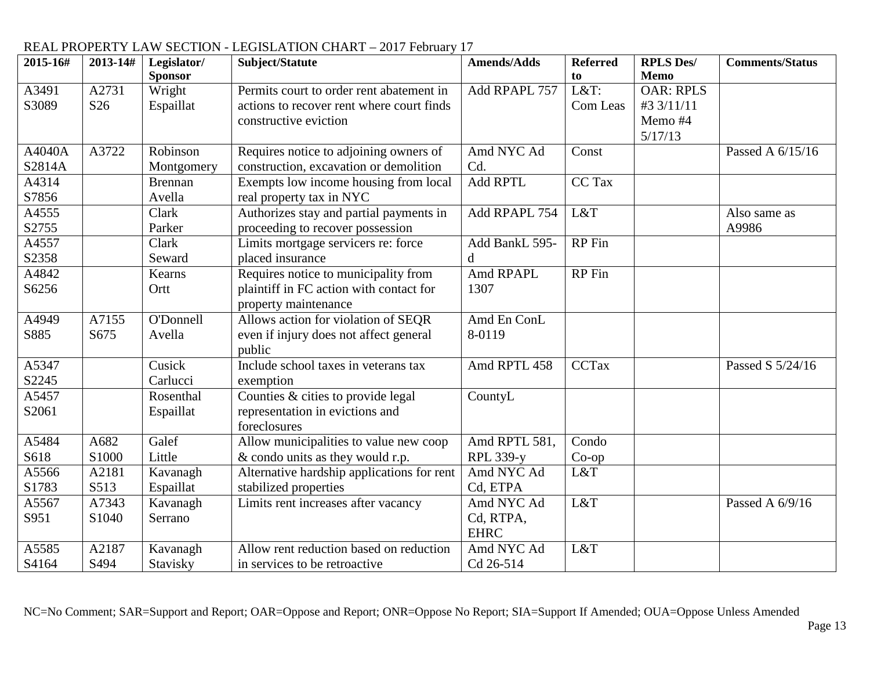| 2015-16# | 2013-14#        | Legislator/    | Subject/Statute                            | <b>Amends/Adds</b> | <b>Referred</b> | <b>RPLS Des/</b> | <b>Comments/Status</b> |
|----------|-----------------|----------------|--------------------------------------------|--------------------|-----------------|------------------|------------------------|
|          |                 | <b>Sponsor</b> |                                            |                    | to              | <b>Memo</b>      |                        |
| A3491    | A2731           | Wright         | Permits court to order rent abatement in   | Add RPAPL 757      | L&T:            | <b>OAR: RPLS</b> |                        |
| S3089    | S <sub>26</sub> | Espaillat      | actions to recover rent where court finds  |                    | Com Leas        | #3 3/11/11       |                        |
|          |                 |                | constructive eviction                      |                    |                 | Memo #4          |                        |
|          |                 |                |                                            |                    |                 | 5/17/13          |                        |
| A4040A   | A3722           | Robinson       | Requires notice to adjoining owners of     | Amd NYC Ad         | Const           |                  | Passed A 6/15/16       |
| S2814A   |                 | Montgomery     | construction, excavation or demolition     | Cd.                |                 |                  |                        |
| A4314    |                 | <b>Brennan</b> | Exempts low income housing from local      | Add RPTL           | CC Tax          |                  |                        |
| S7856    |                 | Avella         | real property tax in NYC                   |                    |                 |                  |                        |
| A4555    |                 | Clark          | Authorizes stay and partial payments in    | Add RPAPL 754      | L&T             |                  | Also same as           |
| S2755    |                 | Parker         | proceeding to recover possession           |                    |                 |                  | A9986                  |
| A4557    |                 | Clark          | Limits mortgage servicers re: force        | Add BankL 595-     | RP Fin          |                  |                        |
| S2358    |                 | Seward         | placed insurance                           | d                  |                 |                  |                        |
| A4842    |                 | Kearns         | Requires notice to municipality from       | Amd RPAPL          | <b>RP</b> Fin   |                  |                        |
| S6256    |                 | Ortt           | plaintiff in FC action with contact for    | 1307               |                 |                  |                        |
|          |                 |                | property maintenance                       |                    |                 |                  |                        |
| A4949    | A7155           | O'Donnell      | Allows action for violation of SEQR        | Amd En ConL        |                 |                  |                        |
| S885     | S675            | Avella         | even if injury does not affect general     | 8-0119             |                 |                  |                        |
|          |                 |                | public                                     |                    |                 |                  |                        |
| A5347    |                 | Cusick         | Include school taxes in veterans tax       | Amd RPTL 458       | <b>CCTax</b>    |                  | Passed S 5/24/16       |
| S2245    |                 | Carlucci       | exemption                                  |                    |                 |                  |                        |
| A5457    |                 | Rosenthal      | Counties $&$ cities to provide legal       | CountyL            |                 |                  |                        |
| S2061    |                 | Espaillat      | representation in evictions and            |                    |                 |                  |                        |
|          |                 |                | foreclosures                               |                    |                 |                  |                        |
| A5484    | A682            | Galef          | Allow municipalities to value new coop     | Amd RPTL 581,      | Condo           |                  |                        |
| S618     | S1000           | Little         | & condo units as they would r.p.           | <b>RPL 339-y</b>   | $Co$ -op        |                  |                        |
| A5566    | A2181           | Kavanagh       | Alternative hardship applications for rent | Amd NYC Ad         | L&T             |                  |                        |
| S1783    | S513            | Espaillat      | stabilized properties                      | Cd, ETPA           |                 |                  |                        |
| A5567    | A7343           | Kavanagh       | Limits rent increases after vacancy        | Amd NYC Ad         | L&T             |                  | Passed A 6/9/16        |
| S951     | S1040           | Serrano        |                                            | Cd, RTPA,          |                 |                  |                        |
|          |                 |                |                                            | <b>EHRC</b>        |                 |                  |                        |
| A5585    | A2187           | Kavanagh       | Allow rent reduction based on reduction    | Amd NYC Ad         | L&T             |                  |                        |
| S4164    | S494            | Stavisky       | in services to be retroactive.             | Cd 26-514          |                 |                  |                        |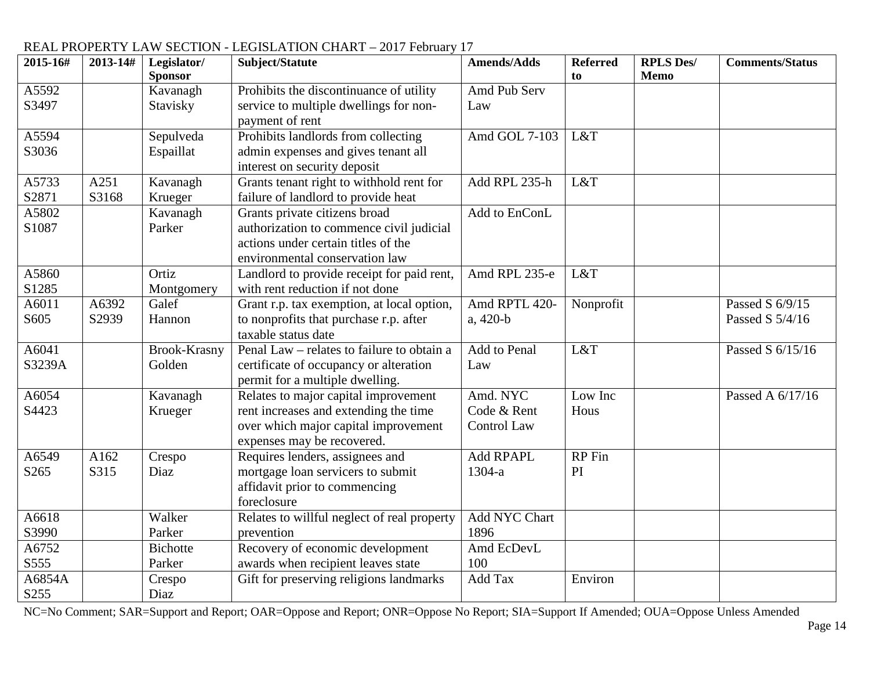#### **2015-16# 2013-14# Legislator/ Sponsor Subject/Statute Amends/Adds Referred to RPLS Des/ Memo Comments/Status** A5592 S3497 Kavanagh Stavisky Prohibits the discontinuance of utility service to multiple dwellings for nonpayment of rent Amd Pub Serv Law A5594 S3036 Sepulveda Espaillat Prohibits landlords from collecting admin expenses and gives tenant all interest on security deposit Amd GOL 7-103 L&T A5733 S2871 A251 S3168 Kavanagh Krueger Grants tenant right to withhold rent for failure of landlord to provide heat Add RPL 235-h L&T A5802 S1087 Kavanagh Parker Grants private citizens broad authorization to commence civil judicial actions under certain titles of the environmental conservation law Add to EnConL A5860 S1285 Ortiz Montgomery Landlord to provide receipt for paid rent, with rent reduction if not done Amd RPL  $235-e$  L&T A6011 S605 A6392 S2939 Galef Hannon Grant r.p. tax exemption, at local option, to nonprofits that purchase r.p. after taxable status date Amd RPTL 420 a, 420-b Nonprofit Passed S 6/9/15 Passed S 5/4/16 A6041 S3239A Brook-Krasny Golden Penal Law – relates to failure to obtain a certificate of occupancy or alteration permit for a multiple dwelling. Add to Penal Law L&T  $\qquad$  Passed S 6/15/16 A6054 S4423 Kavanagh Krueger Relates to major capital improvement rent increases and extending the time over which major capital improvement expenses may be recovered. Amd. NYC Code & Rent Control Law Low Inc **Hous** Passed A 6/17/16 A6549 S265 A162 S315 Crespo Diaz Requires lenders, assignees and mortgage loan servicers to submit affidavit prior to commencing foreclosure Add RPAPL 1304-a RP Fin PI A6618 S3990 Walker Parker Relates to willful neglect of real property prevention Add NYC Chart 1896 A6752 S555 Bichotte Parker Recovery of economic development awards when recipient leaves state Amd EcDevL 100 A6854A S255 Crespo Diaz Gift for preserving religions landmarks  $\begin{array}{|c|c|c|}\n\hline\n\end{array}$  Add Tax  $\begin{array}{|c|c|c|c|}\n\hline\n\end{array}$  Environ

#### REAL PROPERTY LAW SECTION - LEGISLATION CHART – 2017 February 17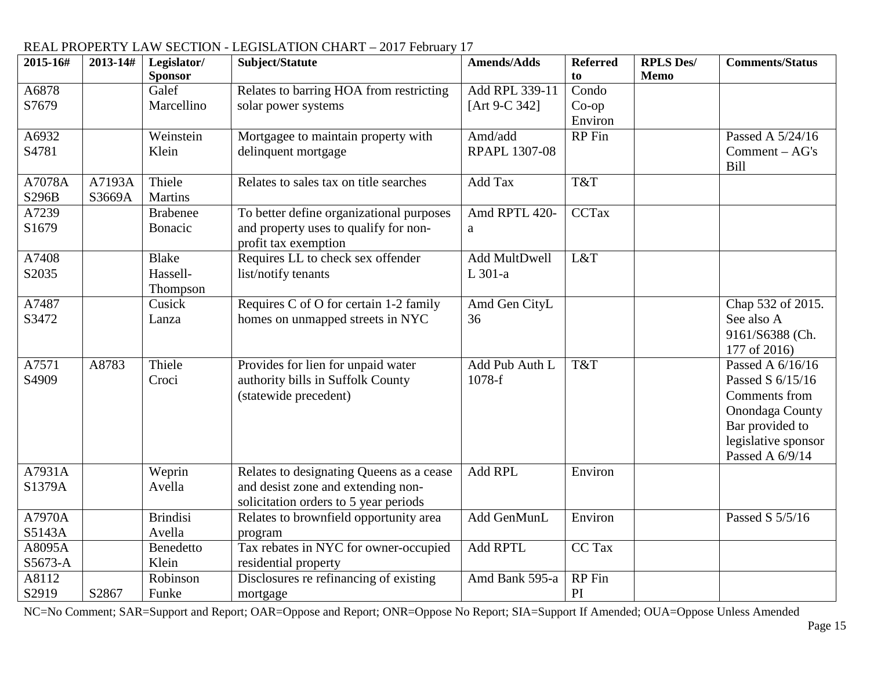| 2015-16# | 2013-14# | Legislator/     | Subject/Statute                          | <b>Amends/Adds</b>   | <b>Referred</b> | <b>RPLS Des/</b> | <b>Comments/Status</b> |
|----------|----------|-----------------|------------------------------------------|----------------------|-----------------|------------------|------------------------|
|          |          | <b>Sponsor</b>  |                                          |                      | to              | <b>Memo</b>      |                        |
| A6878    |          | Galef           | Relates to barring HOA from restricting  | Add RPL 339-11       | Condo           |                  |                        |
| S7679    |          | Marcellino      | solar power systems                      | [Art 9-C 342]        | $Co$ -op        |                  |                        |
|          |          |                 |                                          |                      | Environ         |                  |                        |
| A6932    |          | Weinstein       | Mortgagee to maintain property with      | Amd/add              | RP Fin          |                  | Passed A 5/24/16       |
| S4781    |          | Klein           | delinquent mortgage                      | <b>RPAPL 1307-08</b> |                 |                  | Comment - AG's<br>Bill |
| A7078A   | A7193A   | Thiele          | Relates to sales tax on title searches   | Add Tax              | T&T             |                  |                        |
| S296B    | S3669A   | <b>Martins</b>  |                                          |                      |                 |                  |                        |
| A7239    |          | <b>Brabenee</b> | To better define organizational purposes | Amd RPTL 420-        | CCTax           |                  |                        |
| S1679    |          | Bonacic         | and property uses to qualify for non-    | a                    |                 |                  |                        |
|          |          |                 | profit tax exemption                     |                      |                 |                  |                        |
| A7408    |          | <b>Blake</b>    | Requires LL to check sex offender        | <b>Add MultDwell</b> | L&T             |                  |                        |
| S2035    |          | Hassell-        | list/notify tenants                      | L 301-a              |                 |                  |                        |
|          |          | Thompson        |                                          |                      |                 |                  |                        |
| A7487    |          | Cusick          | Requires C of O for certain 1-2 family   | Amd Gen CityL        |                 |                  | Chap 532 of 2015.      |
| S3472    |          | Lanza           | homes on unmapped streets in NYC         | 36                   |                 |                  | See also A             |
|          |          |                 |                                          |                      |                 |                  | 9161/S6388 (Ch.        |
|          |          |                 |                                          |                      |                 |                  | 177 of 2016)           |
| A7571    | A8783    | Thiele          | Provides for lien for unpaid water       | Add Pub Auth L       | T&T             |                  | Passed A 6/16/16       |
| S4909    |          | Croci           | authority bills in Suffolk County        | 1078-f               |                 |                  | Passed S 6/15/16       |
|          |          |                 | (statewide precedent)                    |                      |                 |                  | Comments from          |
|          |          |                 |                                          |                      |                 |                  | Onondaga County        |
|          |          |                 |                                          |                      |                 |                  | Bar provided to        |
|          |          |                 |                                          |                      |                 |                  | legislative sponsor    |
|          |          |                 |                                          |                      |                 |                  | Passed A 6/9/14        |
| A7931A   |          | Weprin          | Relates to designating Queens as a cease | Add RPL              | Environ         |                  |                        |
| S1379A   |          | Avella          | and desist zone and extending non-       |                      |                 |                  |                        |
|          |          |                 | solicitation orders to 5 year periods    |                      |                 |                  |                        |
| A7970A   |          | <b>Brindisi</b> | Relates to brownfield opportunity area   | Add GenMunL          | Environ         |                  | Passed S 5/5/16        |
| S5143A   |          | Avella          | program                                  |                      |                 |                  |                        |
| A8095A   |          | Benedetto       | Tax rebates in NYC for owner-occupied    | <b>Add RPTL</b>      | CC Tax          |                  |                        |
| S5673-A  |          | Klein           | residential property                     |                      |                 |                  |                        |
| A8112    |          | Robinson        | Disclosures re refinancing of existing   | Amd Bank 595-a       | RP Fin          |                  |                        |
| S2919    | S2867    | Funke           | mortgage                                 |                      | PI              |                  |                        |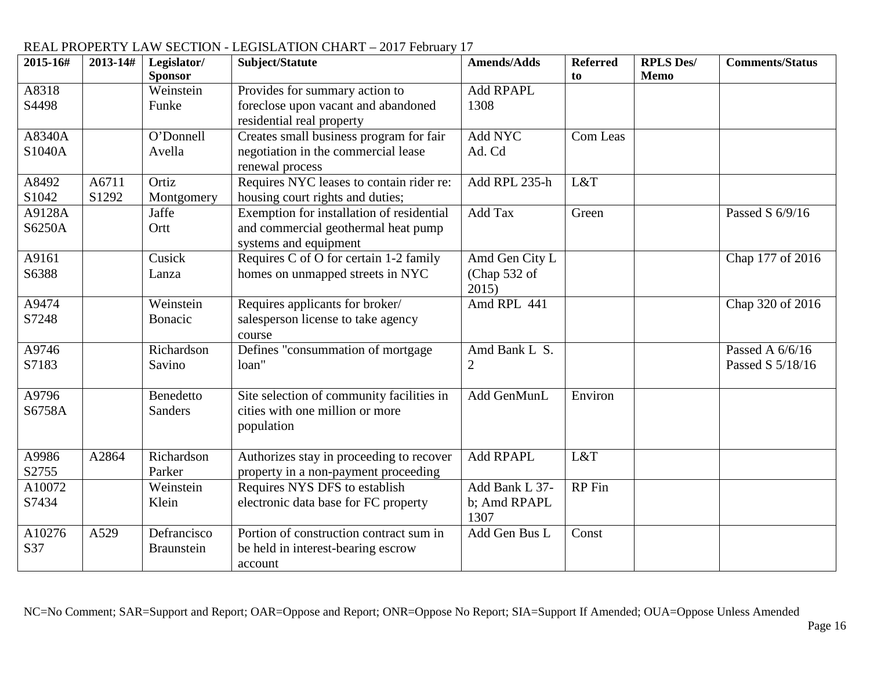#### **2015-16# 2013-14# Legislator/ Sponsor Subject/Statute Amends/Adds Referred to RPLS Des/ Memo Comments/Status** A8318 S4498 Weinstein Funke Provides for summary action to foreclose upon vacant and abandoned residential real property Add RPAPL 1308 A8340A S1040A O'Donnell Avella Creates small business program for fair negotiation in the commercial lease renewal process Add NYC Ad. Cd Com Leas A8492 S1042 A6711 S1292 Ortiz Montgomery Requires NYC leases to contain rider re: housing court rights and duties; Add RPL 235-h L&T A9128A S6250A Jaffe Ortt Exemption for installation of residential and commercial geothermal heat pump systems and equipment Add Tax Green Passed S 6/9/16 A9161 S6388 Cusick Lanza Requires C of O for certain 1-2 family homes on unmapped streets in NYC Amd Gen City L (Chap 532 of 2015) Chap 177 of 2016 A9474 S7248 Weinstein Bonacic Requires applicants for broker/ salesperson license to take agency course Amd RPL 441 **Chap 320 of 2016** A9746 S7183 Richardson Savino Defines "consummation of mortgage loan" Amd Bank L S.  $\mathcal{D}_{\mathcal{L}}$ Passed A 6/6/16 Passed S 5/18/16 A9796 S6758A Benedetto **Sanders** Site selection of community facilities in cities with one million or more population Add GenMunL Environ A9986 S2755 A2864 Richardson Parker Authorizes stay in proceeding to recover property in a non-payment proceeding Add RPAPL L&T A10072 S7434 Weinstein Klein Requires NYS DFS to establish electronic data base for FC property Add Bank L 37 b; Amd RPAPL 1307 RP Fin A10276 S37 A529 Defrancisco Braunstein Portion of construction contract sum in be held in interest-bearing escrow account Add Gen Bus L Const

## REAL PROPERTY LAW SECTION - LEGISLATION CHART – 2017 February 17<br>2015-16# | 2013-14# | Legislator/ | Subject/Statute | Amends/Adds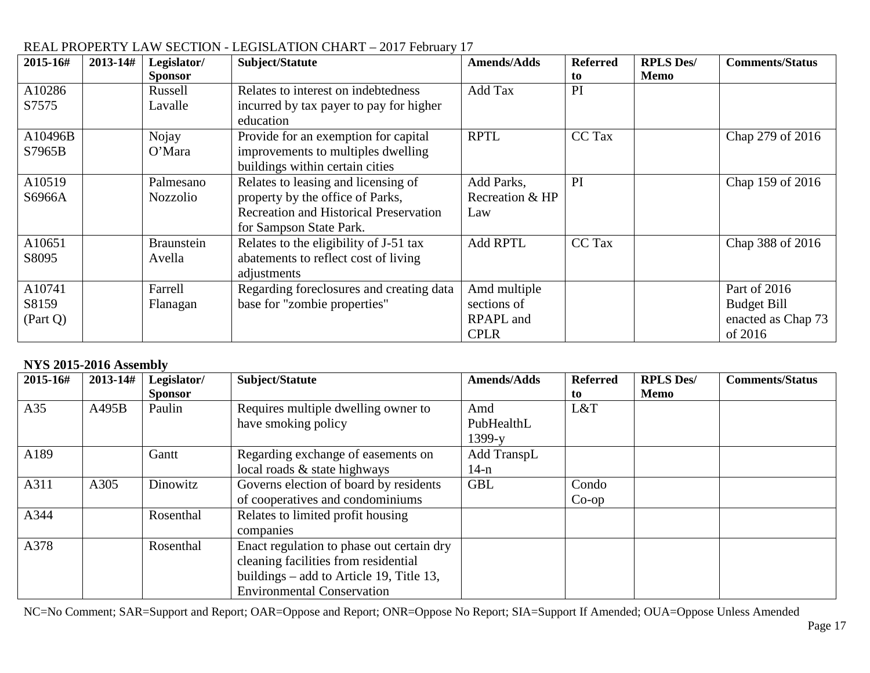| 2015-16# | 2013-14# | Legislator/<br><b>Sponsor</b> | Subject/Statute                               | <b>Amends/Adds</b> | <b>Referred</b><br>to | <b>RPLS Des/</b><br>Memo | <b>Comments/Status</b> |
|----------|----------|-------------------------------|-----------------------------------------------|--------------------|-----------------------|--------------------------|------------------------|
| A10286   |          | Russell                       | Relates to interest on indebtedness           | Add Tax            | PI                    |                          |                        |
| S7575    |          | Lavalle                       | incurred by tax payer to pay for higher       |                    |                       |                          |                        |
|          |          |                               | education                                     |                    |                       |                          |                        |
| A10496B  |          | Nojay                         | Provide for an exemption for capital          | <b>RPTL</b>        | <b>CC</b> Tax         |                          | Chap 279 of 2016       |
| S7965B   |          | O'Mara                        | improvements to multiples dwelling            |                    |                       |                          |                        |
|          |          |                               | buildings within certain cities               |                    |                       |                          |                        |
| A10519   |          | Palmesano                     | Relates to leasing and licensing of           | Add Parks,         | PI                    |                          | Chap 159 of 2016       |
| S6966A   |          | <b>Nozzolio</b>               | property by the office of Parks,              | Recreation & HP    |                       |                          |                        |
|          |          |                               | <b>Recreation and Historical Preservation</b> | Law                |                       |                          |                        |
|          |          |                               | for Sampson State Park.                       |                    |                       |                          |                        |
| A10651   |          | <b>Braunstein</b>             | Relates to the eligibility of J-51 tax        | <b>Add RPTL</b>    | CC Tax                |                          | Chap 388 of 2016       |
| S8095    |          | Avella                        | abatements to reflect cost of living          |                    |                       |                          |                        |
|          |          |                               | adjustments                                   |                    |                       |                          |                        |
| A10741   |          | Farrell                       | Regarding foreclosures and creating data      | Amd multiple       |                       |                          | Part of 2016           |
| S8159    |          | Flanagan                      | base for "zombie properties"                  | sections of        |                       |                          | <b>Budget Bill</b>     |
| (Part Q) |          |                               |                                               | RPAPL and          |                       |                          | enacted as Chap 73     |
|          |          |                               |                                               | <b>CPLR</b>        |                       |                          | of 2016                |

### **NYS 2015-2016 Assembly**

| 2015-16# | 2013-14# | Legislator/<br><b>Sponsor</b> | Subject/Statute                                                                                                                                                      | <b>Amends/Adds</b>                | <b>Referred</b><br>to | <b>RPLS Des/</b><br>Memo | <b>Comments/Status</b> |
|----------|----------|-------------------------------|----------------------------------------------------------------------------------------------------------------------------------------------------------------------|-----------------------------------|-----------------------|--------------------------|------------------------|
| A35      | A495B    | Paulin                        | Requires multiple dwelling owner to<br>have smoking policy                                                                                                           | Amd<br>PubHealthL                 | L&T                   |                          |                        |
| A189     |          | Gantt                         | Regarding exchange of easements on<br>local roads & state highways                                                                                                   | $1399-y$<br>Add TranspL<br>$14-n$ |                       |                          |                        |
| A311     | A305     | Dinowitz                      | Governs election of board by residents<br>of cooperatives and condominiums                                                                                           | <b>GBL</b>                        | Condo<br>$Co$ -op     |                          |                        |
| A344     |          | Rosenthal                     | Relates to limited profit housing<br>companies                                                                                                                       |                                   |                       |                          |                        |
| A378     |          | Rosenthal                     | Enact regulation to phase out certain dry<br>cleaning facilities from residential<br>buildings $-$ add to Article 19, Title 13,<br><b>Environmental Conservation</b> |                                   |                       |                          |                        |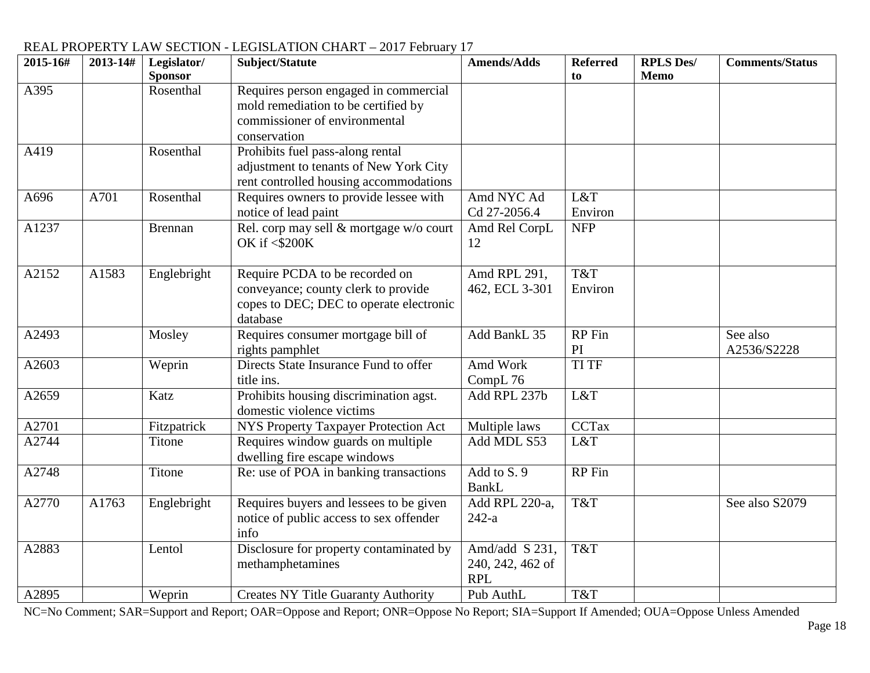| 2015-16# | 2013-14# | Legislator/<br><b>Sponsor</b> | Subject/Statute                                                                                                               | <b>Amends/Adds</b>                               | <b>Referred</b><br>to | <b>RPLS Des/</b><br><b>Memo</b> | <b>Comments/Status</b>  |
|----------|----------|-------------------------------|-------------------------------------------------------------------------------------------------------------------------------|--------------------------------------------------|-----------------------|---------------------------------|-------------------------|
| A395     |          | Rosenthal                     | Requires person engaged in commercial<br>mold remediation to be certified by<br>commissioner of environmental<br>conservation |                                                  |                       |                                 |                         |
| A419     |          | Rosenthal                     | Prohibits fuel pass-along rental<br>adjustment to tenants of New York City<br>rent controlled housing accommodations          |                                                  |                       |                                 |                         |
| A696     | A701     | Rosenthal                     | Requires owners to provide lessee with<br>notice of lead paint                                                                | Amd NYC Ad<br>Cd 27-2056.4                       | L&T<br>Environ        |                                 |                         |
| A1237    |          | <b>Brennan</b>                | Rel. corp may sell & mortgage w/o court<br>OK if <\$200K                                                                      | Amd Rel CorpL<br>12                              | <b>NFP</b>            |                                 |                         |
| A2152    | A1583    | Englebright                   | Require PCDA to be recorded on<br>conveyance; county clerk to provide<br>copes to DEC; DEC to operate electronic<br>database  | Amd RPL 291,<br>462, ECL 3-301                   | T&T<br>Environ        |                                 |                         |
| A2493    |          | Mosley                        | Requires consumer mortgage bill of<br>rights pamphlet                                                                         | Add BankL 35                                     | RP Fin<br>PI          |                                 | See also<br>A2536/S2228 |
| A2603    |          | Weprin                        | Directs State Insurance Fund to offer<br>title ins.                                                                           | Amd Work<br>CompL 76                             | <b>TI TF</b>          |                                 |                         |
| A2659    |          | Katz                          | Prohibits housing discrimination agst.<br>domestic violence victims                                                           | Add RPL 237b                                     | L&T                   |                                 |                         |
| A2701    |          | Fitzpatrick                   | NYS Property Taxpayer Protection Act                                                                                          | Multiple laws                                    | <b>CCTax</b>          |                                 |                         |
| A2744    |          | Titone                        | Requires window guards on multiple<br>dwelling fire escape windows                                                            | Add MDL S53                                      | L&T                   |                                 |                         |
| A2748    |          | Titone                        | Re: use of POA in banking transactions                                                                                        | Add to S. 9<br><b>BankL</b>                      | RP Fin                |                                 |                         |
| A2770    | A1763    | Englebright                   | Requires buyers and lessees to be given<br>notice of public access to sex offender<br>info                                    | Add RPL 220-a,<br>$242-a$                        | T&T                   |                                 | See also S2079          |
| A2883    |          | Lentol                        | Disclosure for property contaminated by<br>methamphetamines                                                                   | Amd/add S 231,<br>240, 242, 462 of<br><b>RPL</b> | T&T                   |                                 |                         |
| A2895    |          | Weprin                        | <b>Creates NY Title Guaranty Authority</b>                                                                                    | Pub AuthL                                        | T&T                   |                                 |                         |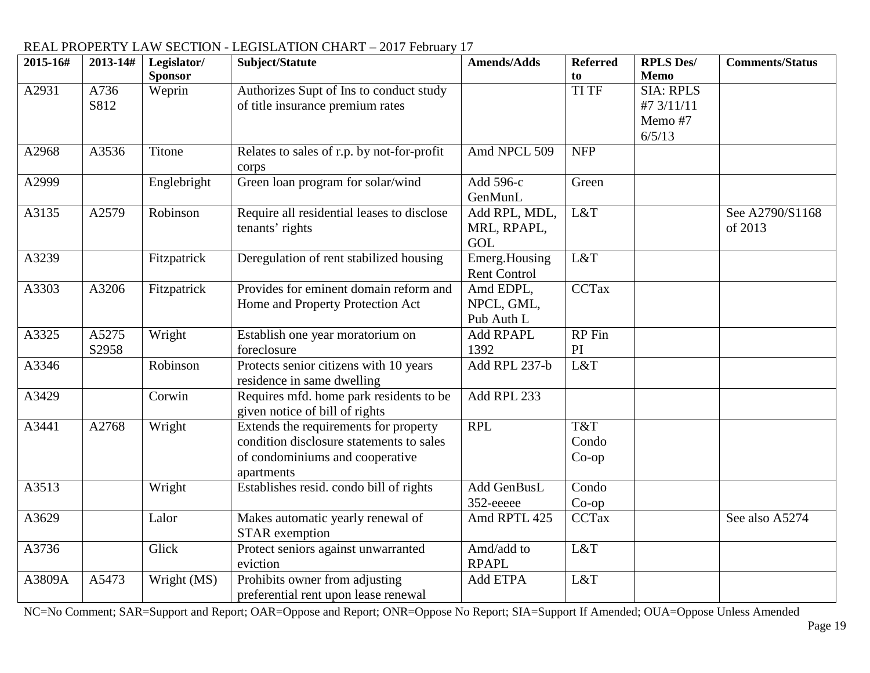#### **2015-16# 2013-14# Legislator/ Sponsor Subject/Statute Amends/Adds Referred to RPLS Des/ Memo Comments/Status** A2931 A736 S812 Weprin Authorizes Supt of Ins to conduct study of title insurance premium rates SIA: RPLS #7 3/11/11 Memo #7  $6/5/13$ A2968 | A3536 | Titone | Relates to sales of r.p. by not-for-profit corps Amd NPCL  $509$  NFP A2999 Englebright Green loan program for solar/wind Add 596-c GenMunL Green A3135 A2579 Robinson Require all residential leases to disclose tenants' rights Add RPL, MDL, MRL, RPAPL, GOL L&T See  $A2790/S1168$ of 2013 A3239 Fitzpatrick Deregulation of rent stabilized housing Emerg. Housing Rent Control L&T A3303 A3206 Fitzpatrick Provides for eminent domain reform and Home and Property Protection Act Amd EDPL, NPCL, GML, Pub Auth L CCTax A3325 A5275 S2958 Wright Establish one year moratorium on foreclosure Add RPAPL 1392 RP Fin PI A3346 Robinson Protects senior citizens with 10 years residence in same dwelling Add RPL 237-b L&T A3429 Corwin Requires mfd. home park residents to be given notice of bill of rights Add RPL 233 A3441 | A2768 | Wright Extends the requirements for property condition disclosure statements to sales of condominiums and cooperative apartments RPL T&T Condo Co-op A3513 Wright Establishes resid. condo bill of rights Add GenBusL 352-eeeee Condo Co-op<br>CCTax A3629 Lalor Makes automatic yearly renewal of STAR exemption Amd RPTL  $425$  CCTax See also A5274 A3736 Glick Protect seniors against unwarranted eviction Amd/add to RPAPL L&T A3809A A5473 Wright (MS) Prohibits owner from adjusting preferential rent upon lease renewal Add ETPA L&T

# REAL PROPERTY LAW SECTION - LEGISLATION CHART – 2017 February 17<br>2015-16# | 2013-14# | Legislator/ | Subject/Statute | A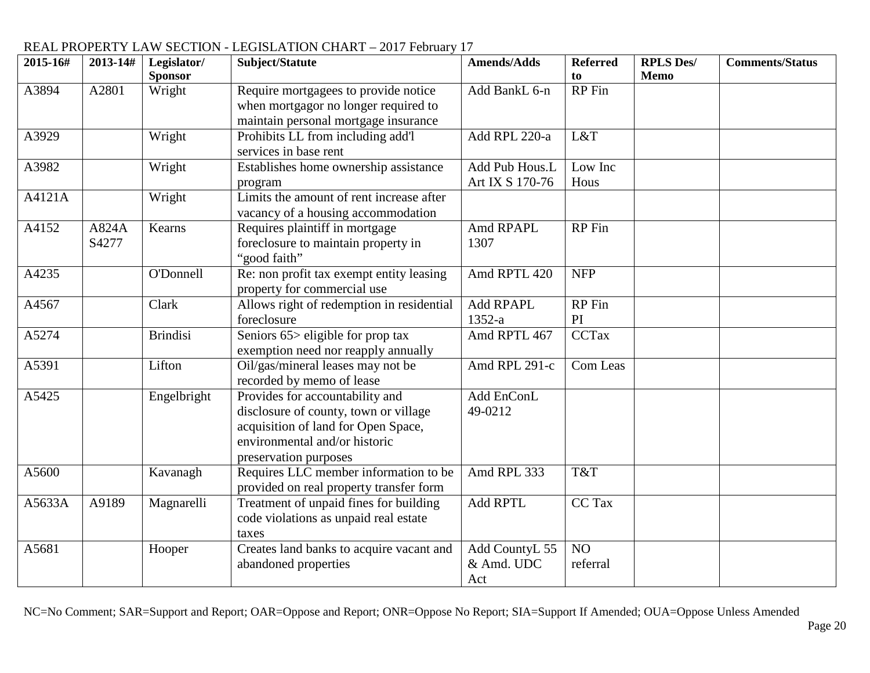| 2015-16# | $2013 - 14#$   | Legislator/<br><b>Sponsor</b> | Subject/Statute                                                                                                                                                           | <b>Amends/Adds</b>                  | <b>Referred</b><br>to | <b>RPLS Des/</b><br><b>Memo</b> | <b>Comments/Status</b> |
|----------|----------------|-------------------------------|---------------------------------------------------------------------------------------------------------------------------------------------------------------------------|-------------------------------------|-----------------------|---------------------------------|------------------------|
| A3894    | A2801          | Wright                        | Require mortgagees to provide notice<br>when mortgagor no longer required to                                                                                              | Add BankL 6-n                       | RP Fin                |                                 |                        |
|          |                |                               | maintain personal mortgage insurance                                                                                                                                      |                                     |                       |                                 |                        |
| A3929    |                | Wright                        | Prohibits LL from including add'l<br>services in base rent                                                                                                                | Add RPL 220-a                       | L&T                   |                                 |                        |
| A3982    |                | Wright                        | Establishes home ownership assistance<br>program                                                                                                                          | Add Pub Hous.L<br>Art IX S 170-76   | Low Inc<br>Hous       |                                 |                        |
| A4121A   |                | Wright                        | Limits the amount of rent increase after<br>vacancy of a housing accommodation                                                                                            |                                     |                       |                                 |                        |
| A4152    | A824A<br>S4277 | Kearns                        | Requires plaintiff in mortgage<br>foreclosure to maintain property in<br>"good faith"                                                                                     | Amd RPAPL<br>1307                   | $RP$ Fin              |                                 |                        |
| A4235    |                | O'Donnell                     | Re: non profit tax exempt entity leasing<br>property for commercial use                                                                                                   | Amd RPTL 420                        | <b>NFP</b>            |                                 |                        |
| A4567    |                | Clark                         | Allows right of redemption in residential<br>foreclosure                                                                                                                  | <b>Add RPAPL</b><br>$1352-a$        | RP Fin<br>PI          |                                 |                        |
| A5274    |                | <b>Brindisi</b>               | Seniors $65$ eligible for prop tax<br>exemption need nor reapply annually                                                                                                 | Amd RPTL 467                        | <b>CCTax</b>          |                                 |                        |
| A5391    |                | Lifton                        | Oil/gas/mineral leases may not be<br>recorded by memo of lease                                                                                                            | Amd RPL 291-c                       | Com Leas              |                                 |                        |
| A5425    |                | Engelbright                   | Provides for accountability and<br>disclosure of county, town or village<br>acquisition of land for Open Space,<br>environmental and/or historic<br>preservation purposes | Add EnConL<br>49-0212               |                       |                                 |                        |
| A5600    |                | Kavanagh                      | Requires LLC member information to be<br>provided on real property transfer form                                                                                          | Amd RPL 333                         | T&T                   |                                 |                        |
| A5633A   | A9189          | Magnarelli                    | Treatment of unpaid fines for building<br>code violations as unpaid real estate<br>taxes                                                                                  | <b>Add RPTL</b>                     | CC Tax                |                                 |                        |
| A5681    |                | Hooper                        | Creates land banks to acquire vacant and<br>abandoned properties                                                                                                          | Add CountyL 55<br>& Amd. UDC<br>Act | NO<br>referral        |                                 |                        |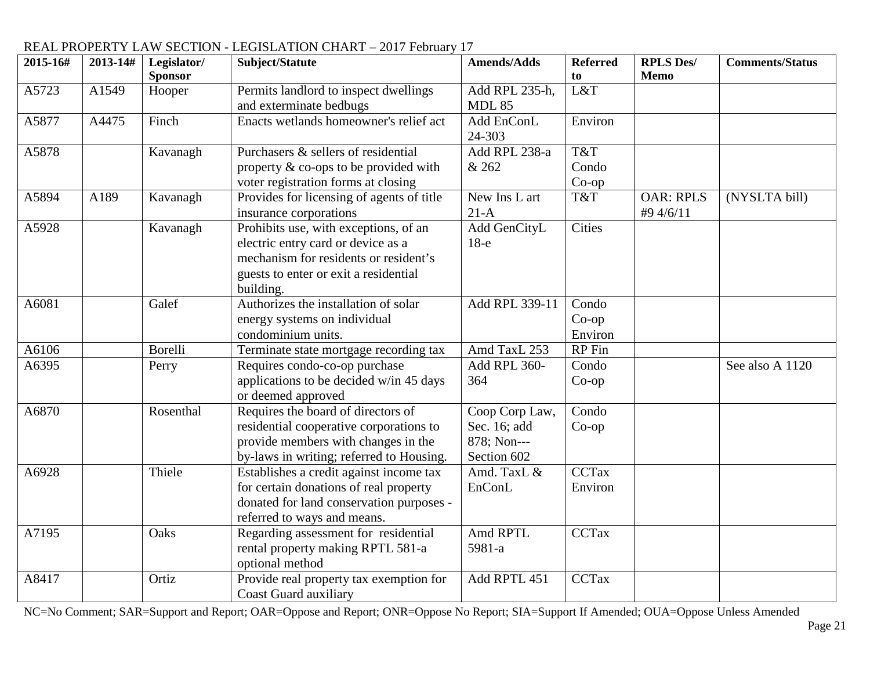| 2015-16# | 2013-14# | Legislator/    | Subject/Statute                           | <b>Amends/Adds</b> | <b>Referred</b> | <b>RPLS Des/</b> | <b>Comments/Status</b> |
|----------|----------|----------------|-------------------------------------------|--------------------|-----------------|------------------|------------------------|
|          |          | <b>Sponsor</b> |                                           |                    | to              | <b>Memo</b>      |                        |
| A5723    | A1549    | Hooper         | Permits landlord to inspect dwellings     | Add RPL 235-h,     | L&T             |                  |                        |
|          |          |                | and exterminate bedbugs                   | <b>MDL 85</b>      |                 |                  |                        |
| A5877    | A4475    | Finch          | Enacts wetlands homeowner's relief act    | Add EnConL         | Environ         |                  |                        |
|          |          |                |                                           | 24-303             |                 |                  |                        |
| A5878    |          | Kavanagh       | Purchasers & sellers of residential       | Add RPL 238-a      | T&T             |                  |                        |
|          |          |                | property & co-ops to be provided with     | & 262              | Condo           |                  |                        |
|          |          |                | voter registration forms at closing       |                    | $Co$ -op        |                  |                        |
| A5894    | A189     | Kavanagh       | Provides for licensing of agents of title | New Ins L art      | T&T             | <b>OAR: RPLS</b> | (NYSLTA bill)          |
|          |          |                | insurance corporations                    | $21-A$             |                 | #9 4/6/11        |                        |
| A5928    |          | Kavanagh       | Prohibits use, with exceptions, of an     | Add GenCityL       | Cities          |                  |                        |
|          |          |                | electric entry card or device as a        | $18-e$             |                 |                  |                        |
|          |          |                | mechanism for residents or resident's     |                    |                 |                  |                        |
|          |          |                | guests to enter or exit a residential     |                    |                 |                  |                        |
|          |          |                | building.                                 |                    |                 |                  |                        |
| A6081    |          | Galef          | Authorizes the installation of solar      | Add RPL 339-11     | Condo           |                  |                        |
|          |          |                | energy systems on individual              |                    | $Co$ -op        |                  |                        |
|          |          |                | condominium units.                        |                    | Environ         |                  |                        |
| A6106    |          | Borelli        | Terminate state mortgage recording tax    | Amd TaxL 253       | RP Fin          |                  |                        |
| A6395    |          | Perry          | Requires condo-co-op purchase             | Add RPL 360-       | Condo           |                  | See also A 1120        |
|          |          |                | applications to be decided w/in 45 days   | 364                | $Co$ -op        |                  |                        |
|          |          |                | or deemed approved                        |                    |                 |                  |                        |
| A6870    |          | Rosenthal      | Requires the board of directors of        | Coop Corp Law,     | Condo           |                  |                        |
|          |          |                | residential cooperative corporations to   | Sec. 16; add       | $Co$ -op        |                  |                        |
|          |          |                | provide members with changes in the       | 878; Non---        |                 |                  |                        |
|          |          |                | by-laws in writing; referred to Housing.  | Section 602        |                 |                  |                        |
| A6928    |          | Thiele         | Establishes a credit against income tax   | Amd. TaxL &        | <b>CCTax</b>    |                  |                        |
|          |          |                | for certain donations of real property    | EnConL             | Environ         |                  |                        |
|          |          |                | donated for land conservation purposes -  |                    |                 |                  |                        |
|          |          |                | referred to ways and means.               |                    |                 |                  |                        |
| A7195    |          | Oaks           | Regarding assessment for residential      | Amd RPTL           | <b>CCTax</b>    |                  |                        |
|          |          |                | rental property making RPTL 581-a         | 5981-a             |                 |                  |                        |
|          |          |                | optional method                           |                    |                 |                  |                        |
| A8417    |          | Ortiz          | Provide real property tax exemption for   | Add RPTL 451       | <b>CCTax</b>    |                  |                        |
|          |          |                | <b>Coast Guard auxiliary</b>              |                    |                 |                  |                        |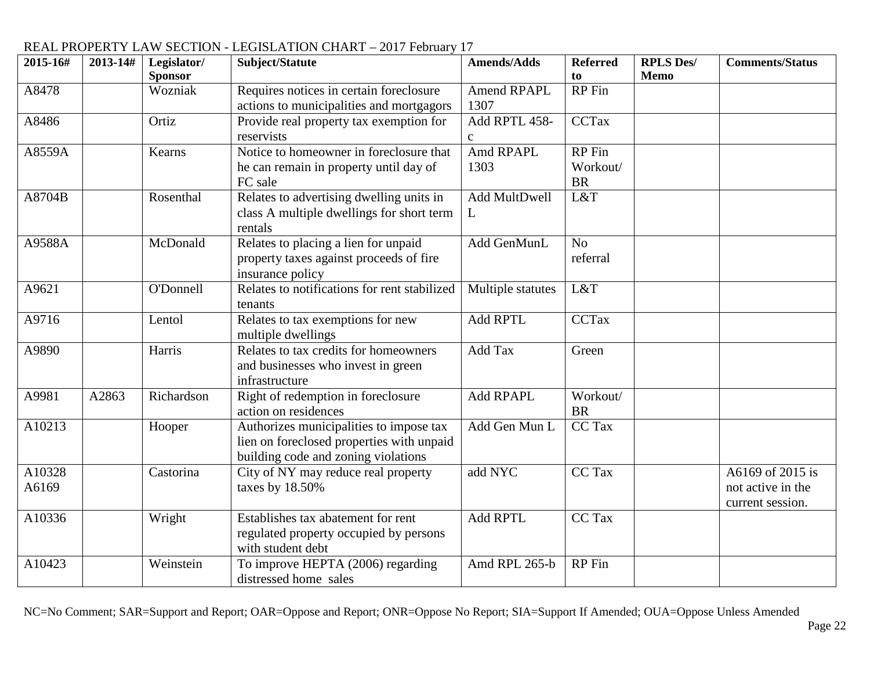| 2015-16#           | 2013-14# | Legislator/    | Subject/Statute                              | <b>Amends/Adds</b> | <b>Referred</b> | <b>RPLS Des/</b> | <b>Comments/Status</b> |
|--------------------|----------|----------------|----------------------------------------------|--------------------|-----------------|------------------|------------------------|
|                    |          | <b>Sponsor</b> |                                              |                    | to              | <b>Memo</b>      |                        |
| A8478              |          | Wozniak        | Requires notices in certain foreclosure      | <b>Amend RPAPL</b> | <b>RP</b> Fin   |                  |                        |
|                    |          |                | actions to municipalities and mortgagors     | 1307               |                 |                  |                        |
| A8486              |          | Ortiz          | Provide real property tax exemption for      | Add RPTL 458-      | <b>CCTax</b>    |                  |                        |
|                    |          |                | reservists                                   | $\mathbf{C}$       |                 |                  |                        |
| A8559A             |          | Kearns         | Notice to homeowner in foreclosure that      | Amd RPAPL          | RP Fin          |                  |                        |
|                    |          |                | he can remain in property until day of       | 1303               | Workout/        |                  |                        |
|                    |          |                | FC sale                                      |                    | <b>BR</b>       |                  |                        |
| A8704B             |          | Rosenthal      | Relates to advertising dwelling units in     | Add MultDwell      | L&T             |                  |                        |
|                    |          |                | class A multiple dwellings for short term    | L                  |                 |                  |                        |
|                    |          |                | rentals                                      |                    |                 |                  |                        |
| A9588A             |          | McDonald       | Relates to placing a lien for unpaid         | Add GenMunL        | N <sub>o</sub>  |                  |                        |
|                    |          |                | property taxes against proceeds of fire      |                    | referral        |                  |                        |
|                    |          |                | insurance policy                             |                    |                 |                  |                        |
| A9621              |          | O'Donnell      | Relates to notifications for rent stabilized | Multiple statutes  | L&T             |                  |                        |
|                    |          |                | tenants                                      |                    |                 |                  |                        |
| A9716              |          | Lentol         | Relates to tax exemptions for new            | <b>Add RPTL</b>    | <b>CCTax</b>    |                  |                        |
|                    |          |                | multiple dwellings                           |                    |                 |                  |                        |
| A9890              |          | Harris         | Relates to tax credits for homeowners        | Add Tax            | Green           |                  |                        |
|                    |          |                | and businesses who invest in green           |                    |                 |                  |                        |
|                    |          |                | infrastructure                               |                    |                 |                  |                        |
| A9981              | A2863    | Richardson     | Right of redemption in foreclosure           | Add RPAPL          | Workout/        |                  |                        |
|                    |          |                | action on residences                         |                    | <b>BR</b>       |                  |                        |
| A10213             |          | Hooper         | Authorizes municipalities to impose tax      | Add Gen Mun L      | CC Tax          |                  |                        |
|                    |          |                | lien on foreclosed properties with unpaid    |                    |                 |                  |                        |
|                    |          |                | building code and zoning violations          |                    |                 |                  |                        |
| A <sub>10328</sub> |          | Castorina      | City of NY may reduce real property          | add NYC            | CC Tax          |                  | A6169 of 2015 is       |
| A6169              |          |                | taxes by 18.50%                              |                    |                 |                  | not active in the      |
|                    |          |                |                                              |                    |                 |                  | current session.       |
| A10336             |          | Wright         | Establishes tax abatement for rent           | <b>Add RPTL</b>    | CC Tax          |                  |                        |
|                    |          |                | regulated property occupied by persons       |                    |                 |                  |                        |
|                    |          |                | with student debt                            |                    |                 |                  |                        |
| A10423             |          | Weinstein      |                                              | Amd RPL 265-b      | <b>RP</b> Fin   |                  |                        |
|                    |          |                | To improve HEPTA (2006) regarding            |                    |                 |                  |                        |
|                    |          |                | distressed home sales                        |                    |                 |                  |                        |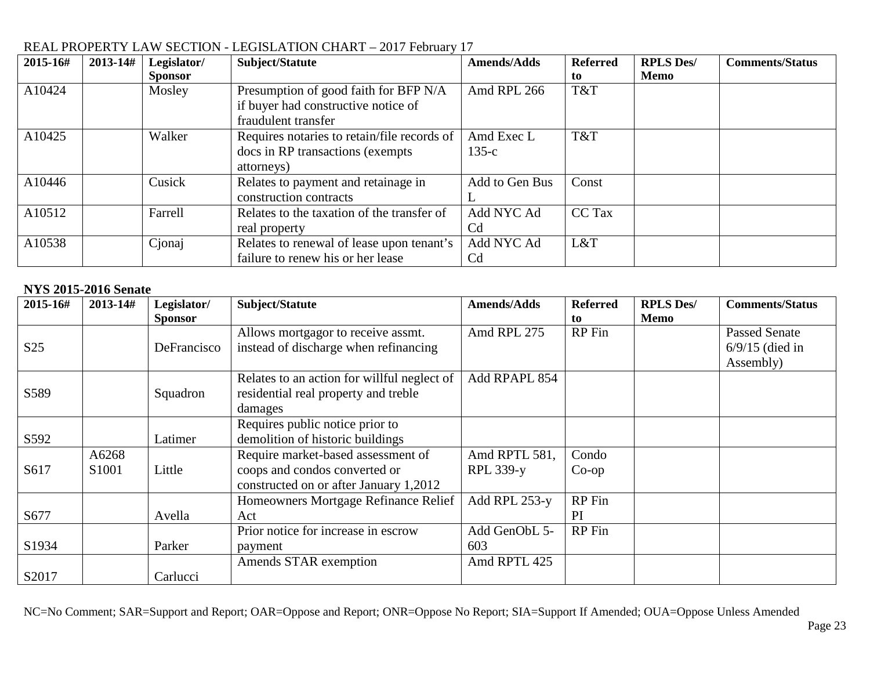| 2015-16# | 2013-14#<br>Legislator/ | Subject/Statute                             | <b>Amends/Adds</b> | <b>Referred</b> | <b>RPLS Des/</b> | <b>Comments/Status</b> |
|----------|-------------------------|---------------------------------------------|--------------------|-----------------|------------------|------------------------|
|          | <b>Sponsor</b>          |                                             |                    | to              | <b>Memo</b>      |                        |
| A10424   | Mosley                  | Presumption of good faith for BFP N/A       | Amd RPL 266        | T&T             |                  |                        |
|          |                         | if buyer had constructive notice of         |                    |                 |                  |                        |
|          |                         | fraudulent transfer                         |                    |                 |                  |                        |
| A10425   | Walker                  | Requires notaries to retain/file records of | Amd Exec L         | T&T             |                  |                        |
|          |                         | docs in RP transactions (exempts)           | $135-c$            |                 |                  |                        |
|          |                         | attorneys)                                  |                    |                 |                  |                        |
| A10446   | Cusick                  | Relates to payment and retainage in         | Add to Gen Bus     | Const           |                  |                        |
|          |                         | construction contracts                      |                    |                 |                  |                        |
| A10512   | Farrell                 | Relates to the taxation of the transfer of  | Add NYC Ad         | CC Tax          |                  |                        |
|          |                         | real property                               | Cd                 |                 |                  |                        |
| A10538   | Cjonaj                  | Relates to renewal of lease upon tenant's   | Add NYC Ad         | L&T             |                  |                        |
|          |                         | failure to renew his or her lease           | C <sub>d</sub>     |                 |                  |                        |

#### **NYS 2015-2016 Senate**

| 2015-16#        | 2013-14#                   | Legislator/<br><b>Sponsor</b> | Subject/Statute                                                                                               | <b>Amends/Adds</b>                | <b>Referred</b><br>to | <b>RPLS Des/</b><br>Memo | <b>Comments/Status</b>                                 |
|-----------------|----------------------------|-------------------------------|---------------------------------------------------------------------------------------------------------------|-----------------------------------|-----------------------|--------------------------|--------------------------------------------------------|
| S <sub>25</sub> |                            | DeFrancisco                   | Allows mortgagor to receive assmt.<br>instead of discharge when refinancing                                   | Amd RPL 275                       | RP Fin                |                          | <b>Passed Senate</b><br>$6/9/15$ (died in<br>Assembly) |
| S589            |                            | Squadron                      | Relates to an action for willful neglect of<br>residential real property and treble<br>damages                | Add RPAPL 854                     |                       |                          |                                                        |
| S592            |                            | Latimer                       | Requires public notice prior to<br>demolition of historic buildings                                           |                                   |                       |                          |                                                        |
| S617            | A6268<br>S <sub>1001</sub> | Little                        | Require market-based assessment of<br>coops and condos converted or<br>constructed on or after January 1,2012 | Amd RPTL 581,<br><b>RPL 339-y</b> | Condo<br>$Co$ -op     |                          |                                                        |
| S677            |                            | Avella                        | Homeowners Mortgage Refinance Relief<br>Act                                                                   | Add RPL 253-y                     | RP Fin<br>PI          |                          |                                                        |
| S1934           |                            | Parker                        | Prior notice for increase in escrow<br>payment                                                                | Add GenObL 5-<br>603              | RP Fin                |                          |                                                        |
| S2017           |                            | Carlucci                      | Amends STAR exemption                                                                                         | Amd RPTL 425                      |                       |                          |                                                        |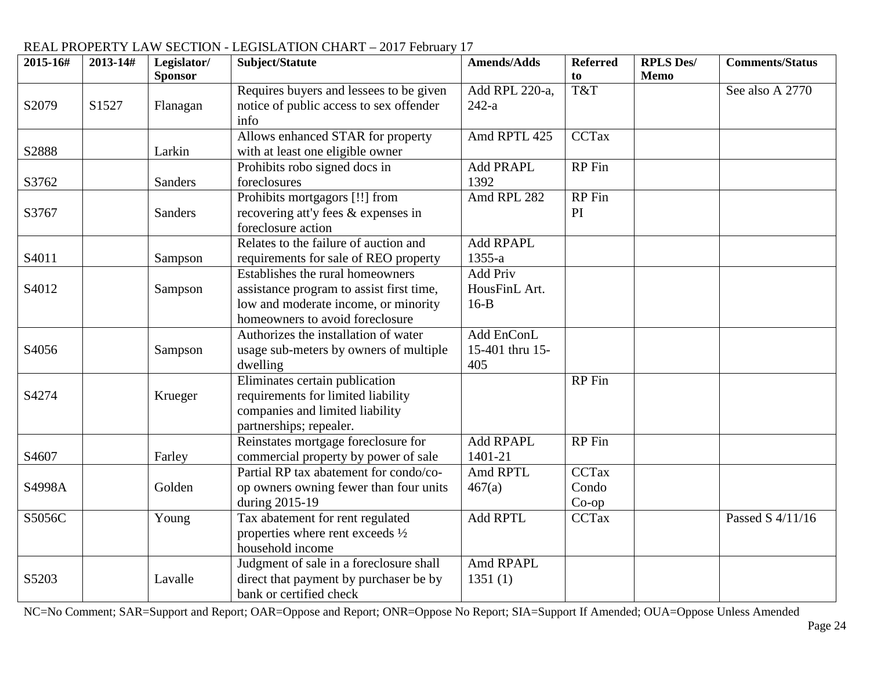| 2015-16#          | 2013-14# | Legislator/<br><b>Sponsor</b> | Subject/Statute                                                                                                                                         | <b>Amends/Adds</b>                   | <b>Referred</b><br>to             | <b>RPLS Des/</b><br><b>Memo</b> | <b>Comments/Status</b> |
|-------------------|----------|-------------------------------|---------------------------------------------------------------------------------------------------------------------------------------------------------|--------------------------------------|-----------------------------------|---------------------------------|------------------------|
| S2079             | S1527    | Flanagan                      | Requires buyers and lessees to be given<br>notice of public access to sex offender<br>info                                                              | Add RPL 220-a,<br>$242-a$            | T&T                               |                                 | See also A 2770        |
| S2888             |          | Larkin                        | Allows enhanced STAR for property<br>with at least one eligible owner                                                                                   | Amd RPTL 425                         | <b>CCTax</b>                      |                                 |                        |
| S3762             |          | <b>Sanders</b>                | Prohibits robo signed docs in<br>foreclosures                                                                                                           | <b>Add PRAPL</b><br>1392             | RP Fin                            |                                 |                        |
| S3767             |          | <b>Sanders</b>                | Prohibits mortgagors [!!] from<br>recovering att'y fees & expenses in<br>foreclosure action                                                             | Amd RPL 282                          | RP Fin<br>PI                      |                                 |                        |
| S <sub>4011</sub> |          | Sampson                       | Relates to the failure of auction and<br>requirements for sale of REO property                                                                          | <b>Add RPAPL</b><br>1355-a           |                                   |                                 |                        |
| S4012             |          | Sampson                       | Establishes the rural homeowners<br>assistance program to assist first time,<br>low and moderate income, or minority<br>homeowners to avoid foreclosure | Add Priv<br>HousFinL Art.<br>$16-B$  |                                   |                                 |                        |
| S4056             |          | Sampson                       | Authorizes the installation of water<br>usage sub-meters by owners of multiple<br>dwelling                                                              | Add EnConL<br>15-401 thru 15-<br>405 |                                   |                                 |                        |
| S4274             |          | Krueger                       | Eliminates certain publication<br>requirements for limited liability<br>companies and limited liability<br>partnerships; repealer.                      |                                      | RP Fin                            |                                 |                        |
| S4607             |          | Farley                        | Reinstates mortgage foreclosure for<br>commercial property by power of sale                                                                             | <b>Add RPAPL</b><br>1401-21          | <b>RP</b> Fin                     |                                 |                        |
| S4998A            |          | Golden                        | Partial RP tax abatement for condo/co-<br>op owners owning fewer than four units<br>during 2015-19                                                      | Amd RPTL<br>467(a)                   | <b>CCTax</b><br>Condo<br>$Co$ -op |                                 |                        |
| S5056C            |          | Young                         | Tax abatement for rent regulated<br>properties where rent exceeds $\frac{1}{2}$<br>household income                                                     | <b>Add RPTL</b>                      | <b>CCTax</b>                      |                                 | Passed S 4/11/16       |
| S5203             |          | Lavalle                       | Judgment of sale in a foreclosure shall<br>direct that payment by purchaser be by<br>bank or certified check                                            | Amd RPAPL<br>1351(1)                 |                                   |                                 |                        |